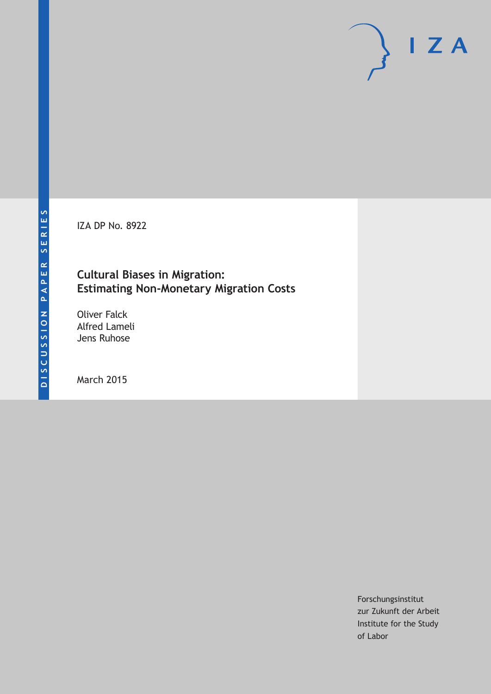IZA DP No. 8922

# **Cultural Biases in Migration: Estimating Non-Monetary Migration Costs**

Oliver Falck Alfred Lameli Jens Ruhose

March 2015

Forschungsinstitut zur Zukunft der Arbeit Institute for the Study of Labor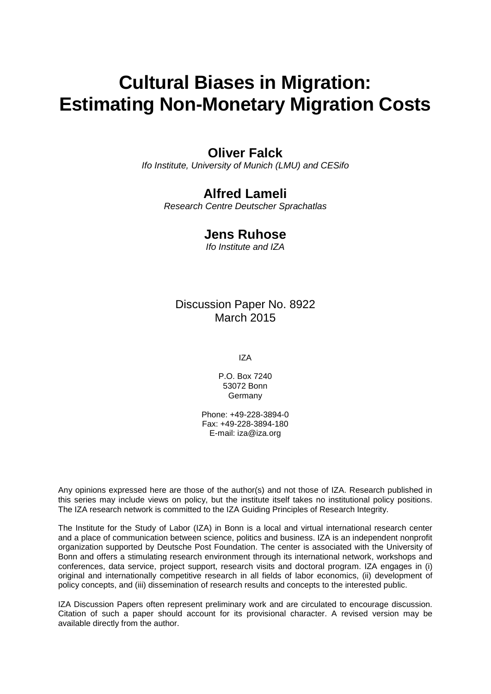# **Cultural Biases in Migration: Estimating Non-Monetary Migration Costs**

# **Oliver Falck**

*Ifo Institute, University of Munich (LMU) and CESifo*

# **Alfred Lameli**

*Research Centre Deutscher Sprachatlas*

### **Jens Ruhose**

*Ifo Institute and IZA*

Discussion Paper No. 8922 March 2015

IZA

P.O. Box 7240 53072 Bonn Germany

Phone: +49-228-3894-0 Fax: +49-228-3894-180 E-mail: iza@iza.org

Any opinions expressed here are those of the author(s) and not those of IZA. Research published in this series may include views on policy, but the institute itself takes no institutional policy positions. The IZA research network is committed to the IZA Guiding Principles of Research Integrity.

The Institute for the Study of Labor (IZA) in Bonn is a local and virtual international research center and a place of communication between science, politics and business. IZA is an independent nonprofit organization supported by Deutsche Post Foundation. The center is associated with the University of Bonn and offers a stimulating research environment through its international network, workshops and conferences, data service, project support, research visits and doctoral program. IZA engages in (i) original and internationally competitive research in all fields of labor economics, (ii) development of policy concepts, and (iii) dissemination of research results and concepts to the interested public.

<span id="page-1-0"></span>IZA Discussion Papers often represent preliminary work and are circulated to encourage discussion. Citation of such a paper should account for its provisional character. A revised version may be available directly from the author.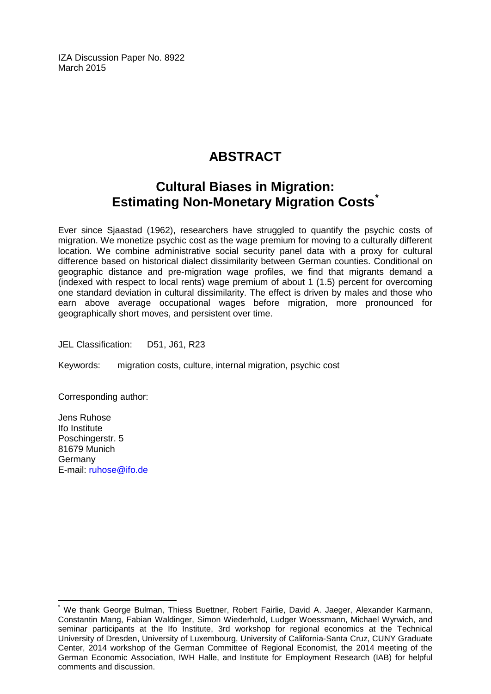IZA Discussion Paper No. 8922 March 2015

# **ABSTRACT**

# **Cultural Biases in Migration: Estimating Non-Monetary Migration Costs[\\*](#page-1-0)**

Ever since Sjaastad (1962), researchers have struggled to quantify the psychic costs of migration. We monetize psychic cost as the wage premium for moving to a culturally different location. We combine administrative social security panel data with a proxy for cultural difference based on historical dialect dissimilarity between German counties. Conditional on geographic distance and pre-migration wage profiles, we find that migrants demand a (indexed with respect to local rents) wage premium of about 1 (1.5) percent for overcoming one standard deviation in cultural dissimilarity. The effect is driven by males and those who earn above average occupational wages before migration, more pronounced for geographically short moves, and persistent over time.

JEL Classification: D51, J61, R23

Keywords: migration costs, culture, internal migration, psychic cost

Corresponding author:

Jens Ruhose Ifo Institute Poschingerstr, 5 81679 Munich Germany E-mail: [ruhose@ifo.de](mailto:ruhose@ifo.de)

We thank George Bulman, Thiess Buettner, Robert Fairlie, David A. Jaeger, Alexander Karmann, Constantin Mang, Fabian Waldinger, Simon Wiederhold, Ludger Woessmann, Michael Wyrwich, and seminar participants at the Ifo Institute, 3rd workshop for regional economics at the Technical University of Dresden, University of Luxembourg, University of California-Santa Cruz, CUNY Graduate Center, 2014 workshop of the German Committee of Regional Economist, the 2014 meeting of the German Economic Association, IWH Halle, and Institute for Employment Research (IAB) for helpful comments and discussion.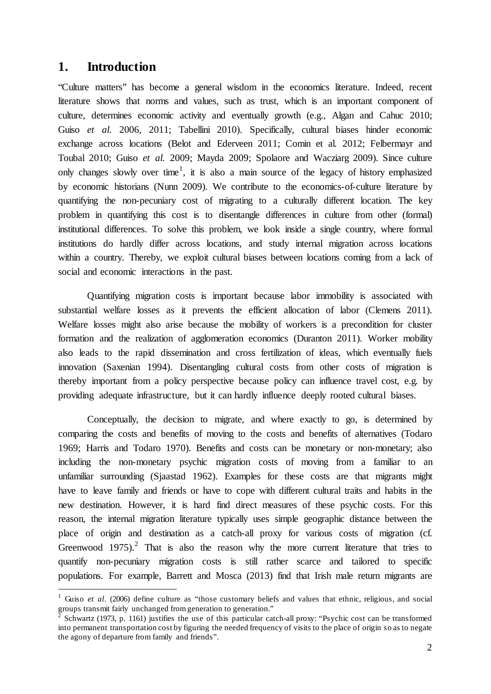### **1. Introduction**

-

"Culture matters" has become a general wisdom in the economics literature. Indeed, recent literature shows that norms and values, such as trust, which is an important component of culture, determines economic activity and eventually growth (e.g., Algan and Cahuc 2010; Guiso *et al.* 2006, 2011; Tabellini 2010). Specifically, cultural biases hinder economic exchange across locations (Belot and Ederveen 2011; Comin et al. 2012; Felbermayr and Toubal 2010; Guiso *et al.* 2009; Mayda 2009; Spolaore and Wacziarg 2009). Since culture only changes slowly over time<sup>[1](#page-3-0)</sup>, it is also a main source of the legacy of history emphasized by economic historians (Nunn 2009). We contribute to the economics-of-culture literature by quantifying the non-pecuniary cost of migrating to a culturally different location. The key problem in quantifying this cost is to disentangle differences in culture from other (formal) institutional differences. To solve this problem, we look inside a single country, where formal institutions do hardly differ across locations, and study internal migration across locations within a country. Thereby, we exploit cultural biases between locations coming from a lack of social and economic interactions in the past.

Quantifying migration costs is important because labor immobility is associated with substantial welfare losses as it prevents the efficient allocation of labor (Clemens 2011). Welfare losses might also arise because the mobility of workers is a precondition for cluster formation and the realization of agglomeration economics (Duranton 2011). Worker mobility also leads to the rapid dissemination and cross fertilization of ideas, which eventually fuels innovation (Saxenian 1994). Disentangling cultural costs from other costs of migration is thereby important from a policy perspective because policy can influence travel cost, e.g. by providing adequate infrastructure, but it can hardly influence deeply rooted cultural biases.

Conceptually, the decision to migrate, and where exactly to go, is determined by comparing the costs and benefits of moving to the costs and benefits of alternatives (Todaro 1969; Harris and Todaro 1970). Benefits and costs can be monetary or non-monetary; also including the non-monetary psychic migration costs of moving from a familiar to an unfamiliar surrounding (Sjaastad 1962). Examples for these costs are that migrants might have to leave family and friends or have to cope with different cultural traits and habits in the new destination. However, it is hard find direct measures of these psychic costs. For this reason, the internal migration literature typically uses simple geographic distance between the place of origin and destination as a catch-all proxy for various costs of migration (cf. Greenwood 1975).<sup>[2](#page-3-1)</sup> That is also the reason why the more current literature that tries to quantify non-pecuniary migration costs is still rather scarce and tailored to specific populations. For example, Barrett and Mosca (2013) find that Irish male return migrants are

<span id="page-3-0"></span><sup>&</sup>lt;sup>1</sup> Guiso *et al.* (2006) define culture as "those customary beliefs and values that ethnic, religious, and social groups transmit fairly unchanged from generation to generation."

<span id="page-3-1"></span><sup>2</sup> Schwartz (1973, p. 1161) justifies the use of this particular catch-all proxy: "Psychic cost can be transformed into permanent transportation cost by figuring the needed frequency of visits to the place of origin so as to negate the agony of departure from family and friends".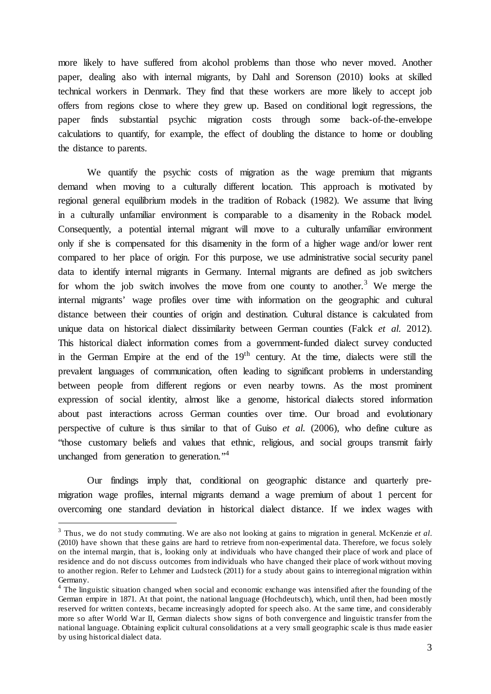more likely to have suffered from alcohol problems than those who never moved. Another paper, dealing also with internal migrants, by Dahl and Sorenson (2010) looks at skilled technical workers in Denmark. They find that these workers are more likely to accept job offers from regions close to where they grew up. Based on conditional logit regressions, the paper finds substantial psychic migration costs through some back-of-the-envelope calculations to quantify, for example, the effect of doubling the distance to home or doubling the distance to parents.

We quantify the psychic costs of migration as the wage premium that migrants demand when moving to a culturally different location. This approach is motivated by regional general equilibrium models in the tradition of Roback (1982). We assume that living in a culturally unfamiliar environment is comparable to a disamenity in the Roback model. Consequently, a potential internal migrant will move to a culturally unfamiliar environment only if she is compensated for this disamenity in the form of a higher wage and/or lower rent compared to her place of origin. For this purpose, we use administrative social security panel data to identify internal migrants in Germany. Internal migrants are defined as job switchers for whom the job switch involves the move from one county to another.<sup>[3](#page-4-0)</sup> We merge the internal migrants' wage profiles over time with information on the geographic and cultural distance between their counties of origin and destination. Cultural distance is calculated from unique data on historical dialect dissimilarity between German counties (Falck *et al.* 2012). This historical dialect information comes from a government-funded dialect survey conducted in the German Empire at the end of the  $19<sup>th</sup>$  century. At the time, dialects were still the prevalent languages of communication, often leading to significant problems in understanding between people from different regions or even nearby towns. As the most prominent expression of social identity, almost like a genome, historical dialects stored information about past interactions across German counties over time. Our broad and evolutionary perspective of culture is thus similar to that of Guiso *et al.* (2006), who define culture as "those customary beliefs and values that ethnic, religious, and social groups transmit fairly unchanged from generation to generation."<sup>[4](#page-4-1)</sup>

Our findings imply that, conditional on geographic distance and quarterly premigration wage profiles, internal migrants demand a wage premium of about 1 percent for overcoming one standard deviation in historical dialect distance. If we index wages with

<u>.</u>

<span id="page-4-0"></span><sup>3</sup> Thus, we do not study commuting. We are also not looking at gains to migration in general. McKenzie *et al.* (2010) have shown that these gains are hard to retrieve from non-experimental data. Therefore, we focus solely on the internal margin, that is, looking only at individuals who have changed their place of work and place of residence and do not discuss outcomes from individuals who have changed their place of work without moving to another region. Refer to Lehmer and Ludsteck (2011) for a study about gains to interregional migration within Germany.

<span id="page-4-1"></span><sup>&</sup>lt;sup>4</sup> The linguistic situation changed when social and economic exchange was intensified after the founding of the German empire in 1871. At that point, the national language (Hochdeutsch), which, until then, had been mostly reserved for written contexts, became increasingly adopted for speech also. At the same time, and considerably more so after World War II, German dialects show signs of both convergence and linguistic transfer from the national language. Obtaining explicit cultural consolidations at a very small geographic scale is thus made easier by using historical dialect data.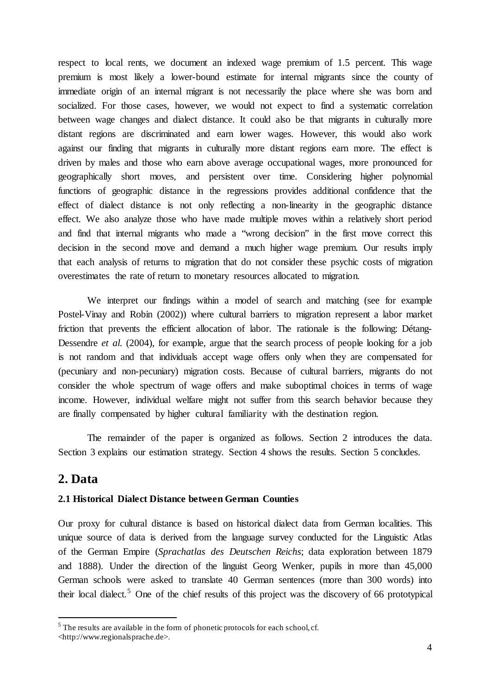respect to local rents, we document an indexed wage premium of 1.5 percent. This wage premium is most likely a lower-bound estimate for internal migrants since the county of immediate origin of an internal migrant is not necessarily the place where she was born and socialized. For those cases, however, we would not expect to find a systematic correlation between wage changes and dialect distance. It could also be that migrants in culturally more distant regions are discriminated and earn lower wages. However, this would also work against our finding that migrants in culturally more distant regions earn more. The effect is driven by males and those who earn above average occupational wages, more pronounced for geographically short moves, and persistent over time. Considering higher polynomial functions of geographic distance in the regressions provides additional confidence that the effect of dialect distance is not only reflecting a non-linearity in the geographic distance effect. We also analyze those who have made multiple moves within a relatively short period and find that internal migrants who made a "wrong decision" in the first move correct this decision in the second move and demand a much higher wage premium. Our results imply that each analysis of returns to migration that do not consider these psychic costs of migration overestimates the rate of return to monetary resources allocated to migration.

We interpret our findings within a model of search and matching (see for example Postel-Vinay and Robin (2002)) where cultural barriers to migration represent a labor market friction that prevents the efficient allocation of labor. The rationale is the following: Détang-Dessendre *et al.* (2004), for example, argue that the search process of people looking for a job is not random and that individuals accept wage offers only when they are compensated for (pecuniary and non-pecuniary) migration costs. Because of cultural barriers, migrants do not consider the whole spectrum of wage offers and make suboptimal choices in terms of wage income. However, individual welfare might not suffer from this search behavior because they are finally compensated by higher cultural familiarity with the destination region.

The remainder of the paper is organized as follows. Section 2 introduces the data. Section 3 explains our estimation strategy. Section 4 shows the results. Section 5 concludes.

### **2. Data**

<u>.</u>

#### **2.1 Historical Dialect Distance between German Counties**

Our proxy for cultural distance is based on historical dialect data from German localities. This unique source of data is derived from the language survey conducted for the Linguistic Atlas of the German Empire (*Sprachatlas des Deutschen Reichs*; data exploration between 1879 and 1888). Under the direction of the linguist Georg Wenker, pupils in more than 45,000 German schools were asked to translate 40 German sentences (more than 300 words) into their local dialect.<sup>[5](#page-5-0)</sup> One of the chief results of this project was the discovery of 66 prototypical

<span id="page-5-0"></span> $<sup>5</sup>$  The results are available in the form of phonetic protocols for each school, cf.</sup> <http://www.regionalsprache.de>.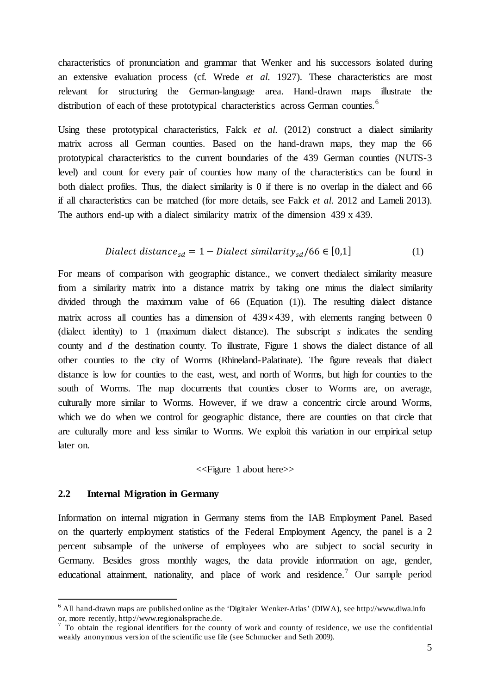characteristics of pronunciation and grammar that Wenker and his successors isolated during an extensive evaluation process (cf. Wrede *et al*. 1927). These characteristics are most relevant for structuring the German-language area. Hand-drawn maps illustrate the distribution of each of these prototypical characteristics across German counties.<sup>[6](#page-6-0)</sup>

Using these prototypical characteristics, Falck *et al*. (2012) construct a dialect similarity matrix across all German counties. Based on the hand-drawn maps, they map the 66 prototypical characteristics to the current boundaries of the 439 German counties (NUTS-3 level) and count for every pair of counties how many of the characteristics can be found in both dialect profiles. Thus, the dialect similarity is 0 if there is no overlap in the dialect and 66 if all characteristics can be matched (for more details, see Falck *et al*. 2012 and Lameli 2013). The authors end-up with a dialect similarity matrix of the dimension 439 x 439.

#### Dialect distance<sub>sd</sub> = 1 – Dialect similarity<sub>sd</sub>/66  $\in [0,1]$  (1)

For means of comparison with geographic distance., we convert thedialect similarity measure from a similarity matrix into a distance matrix by taking one minus the dialect similarity divided through the maximum value of 66 (Equation (1)). The resulting dialect distance matrix across all counties has a dimension of  $439 \times 439$ , with elements ranging between 0 (dialect identity) to 1 (maximum dialect distance). The subscript *s* indicates the sending county and *d* the destination county. To illustrate, Figure 1 shows the dialect distance of all other counties to the city of Worms (Rhineland-Palatinate). The figure reveals that dialect distance is low for counties to the east, west, and north of Worms, but high for counties to the south of Worms. The map documents that counties closer to Worms are, on average, culturally more similar to Worms. However, if we draw a concentric circle around Worms, which we do when we control for geographic distance, there are counties on that circle that are culturally more and less similar to Worms. We exploit this variation in our empirical setup later on.

<<Figure 1 about here>>

#### **2.2 Internal Migration in Germany**

<u>.</u>

Information on internal migration in Germany stems from the IAB Employment Panel. Based on the quarterly employment statistics of the Federal Employment Agency, the panel is a 2 percent subsample of the universe of employees who are subject to social security in Germany. Besides gross monthly wages, the data provide information on age, gender, educational attainment, nationality, and place of work and residence.<sup>[7](#page-6-1)</sup> Our sample period

<span id="page-6-0"></span> $6$  All hand-drawn maps are published online as the 'Digitaler Wenker-Atlas' (DIWA), see http://www.diwa.info or, more recently, http://www.regionalsprache.de.

<span id="page-6-1"></span> $<sup>7</sup>$  To obtain the regional identifiers for the county of work and county of residence, we use the confidential</sup> weakly anonymous version of the scientific use file (see Schmucker and Seth 2009).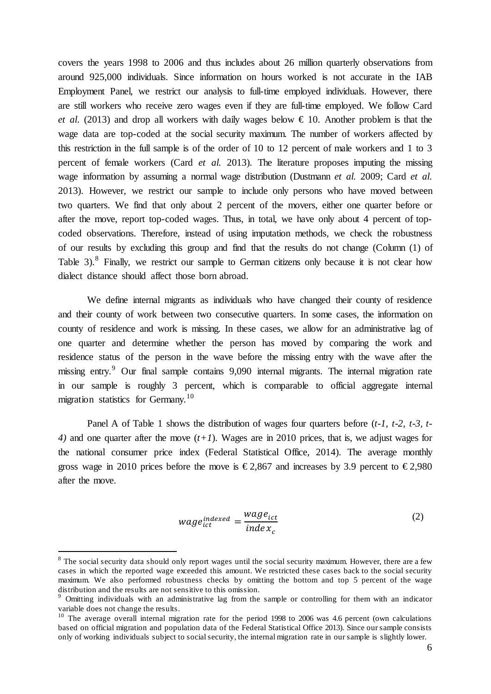covers the years 1998 to 2006 and thus includes about 26 million quarterly observations from around 925,000 individuals. Since information on hours worked is not accurate in the IAB Employment Panel, we restrict our analysis to full-time employed individuals. However, there are still workers who receive zero wages even if they are full-time employed. We follow Card *et al.* (2013) and drop all workers with daily wages below  $\epsilon$  10. Another problem is that the wage data are top-coded at the social security maximum. The number of workers affected by this restriction in the full sample is of the order of 10 to 12 percent of male workers and 1 to 3 percent of female workers (Card *et al.* 2013). The literature proposes imputing the missing wage information by assuming a normal wage distribution (Dustmann *et al.* 2009; Card *et al.*  2013). However, we restrict our sample to include only persons who have moved between two quarters. We find that only about 2 percent of the movers, either one quarter before or after the move, report top-coded wages. Thus, in total, we have only about 4 percent of topcoded observations. Therefore, instead of using imputation methods, we check the robustness of our results by excluding this group and find that the results do not change (Column (1) of Table 3). <sup>[8](#page-7-0)</sup> Finally, we restrict our sample to German citizens only because it is not clear how dialect distance should affect those born abroad.

We define internal migrants as individuals who have changed their county of residence and their county of work between two consecutive quarters. In some cases, the information on county of residence and work is missing. In these cases, we allow for an administrative lag of one quarter and determine whether the person has moved by comparing the work and residence status of the person in the wave before the missing entry with the wave after the missing entry.<sup>[9](#page-7-1)</sup> Our final sample contains 9,090 internal migrants. The internal migration rate in our sample is roughly 3 percent, which is comparable to official aggregate internal migration statistics for Germany.<sup>[10](#page-7-2)</sup>

Panel A of Table 1 shows the distribution of wages four quarters before (*t-1, t-2, t-3, t-4)* and one quarter after the move (*t+1*). Wages are in 2010 prices, that is, we adjust wages for the national consumer price index (Federal Statistical Office, 2014). The average monthly gross wage in 2010 prices before the move is  $\epsilon$ 2,867 and increases by 3.9 percent to  $\epsilon$ 2,980 after the move.

$$
wage_{ict}^{indexed} = \frac{wage_{ict}}{index_c}
$$
 (2)

<u>.</u>

<span id="page-7-0"></span><sup>&</sup>lt;sup>8</sup> The social security data should only report wages until the social security maximum. However, there are a few cases in which the reported wage exceeded this amount. We restricted these cases back to the social security maximum. We also performed robustness checks by omitting the bottom and top 5 percent of the wage distribution and the results are not sensitive to this omission.

<span id="page-7-1"></span><sup>9</sup> Omitting individuals with an administrative lag from the sample or controlling for them with an indicator variable does not change the results.

<span id="page-7-2"></span><sup>&</sup>lt;sup>10</sup> The average overall internal migration rate for the period 1998 to 2006 was 4.6 percent (own calculations based on official migration and population data of the Federal Statistical Office 2013). Since our sample consists only of working individuals subject to social security, the internal migration rate in our sample is slightly lower.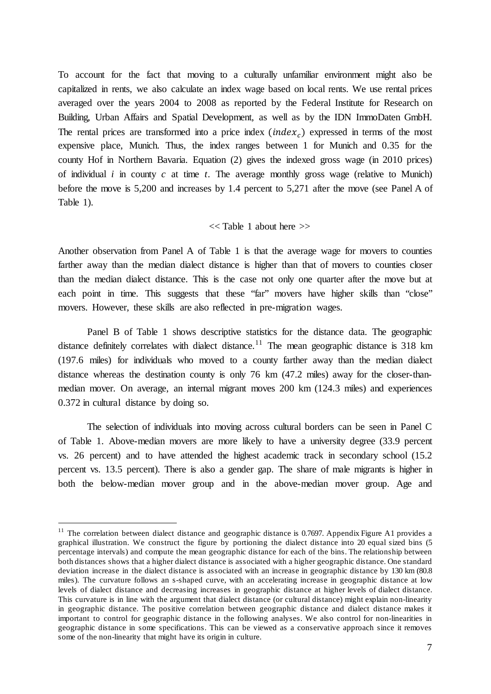To account for the fact that moving to a culturally unfamiliar environment might also be capitalized in rents, we also calculate an index wage based on local rents. We use rental prices averaged over the years 2004 to 2008 as reported by the Federal Institute for Research on Building, Urban Affairs and Spatial Development, as well as by the IDN ImmoDaten GmbH. The rental prices are transformed into a price index (*index<sub>c</sub>*) expressed in terms of the most expensive place, Munich. Thus, the index ranges between 1 for Munich and 0.35 for the county Hof in Northern Bavaria. Equation (2) gives the indexed gross wage (in 2010 prices) of individual *i* in county *c* at time *t*. The average monthly gross wage (relative to Munich) before the move is 5,200 and increases by 1.4 percent to 5,271 after the move (see Panel A of Table 1).

#### $<<$  Table 1 about here  $>>$

Another observation from Panel A of Table 1 is that the average wage for movers to counties farther away than the median dialect distance is higher than that of movers to counties closer than the median dialect distance. This is the case not only one quarter after the move but at each point in time. This suggests that these "far" movers have higher skills than "close" movers. However, these skills are also reflected in pre-migration wages.

Panel B of Table 1 shows descriptive statistics for the distance data. The geographic distance definitely correlates with dialect distance.<sup>[11](#page-8-0)</sup> The mean geographic distance is 318 km (197.6 miles) for individuals who moved to a county farther away than the median dialect distance whereas the destination county is only 76 km (47.2 miles) away for the closer-thanmedian mover. On average, an internal migrant moves 200 km (124.3 miles) and experiences 0.372 in cultural distance by doing so.

The selection of individuals into moving across cultural borders can be seen in Panel C of Table 1. Above-median movers are more likely to have a university degree (33.9 percent vs. 26 percent) and to have attended the highest academic track in secondary school (15.2 percent vs. 13.5 percent). There is also a gender gap. The share of male migrants is higher in both the below-median mover group and in the above-median mover group. Age and

<u>.</u>

<span id="page-8-0"></span> $11$  The correlation between dialect distance and geographic distance is 0.7697. Appendix Figure A1 provides a graphical illustration. We construct the figure by portioning the dialect distance into 20 equal sized bins (5 percentage intervals) and compute the mean geographic distance for each of the bins. The relationship between both distances shows that a higher dialect distance is associated with a higher geographic distance. One standard deviation increase in the dialect distance is associated with an increase in geographic distance by 130 km (80.8 miles). The curvature follows an s-shaped curve, with an accelerating increase in geographic distance at low levels of dialect distance and decreasing increases in geographic distance at higher levels of dialect distance. This curvature is in line with the argument that dialect distance (or cultural distance) might explain non-linearity in geographic distance. The positive correlation between geographic distance and dialect distance makes it important to control for geographic distance in the following analyses. We also control for non-linearities in geographic distance in some specifications. This can be viewed as a conservative approach since it removes some of the non-linearity that might have its origin in culture.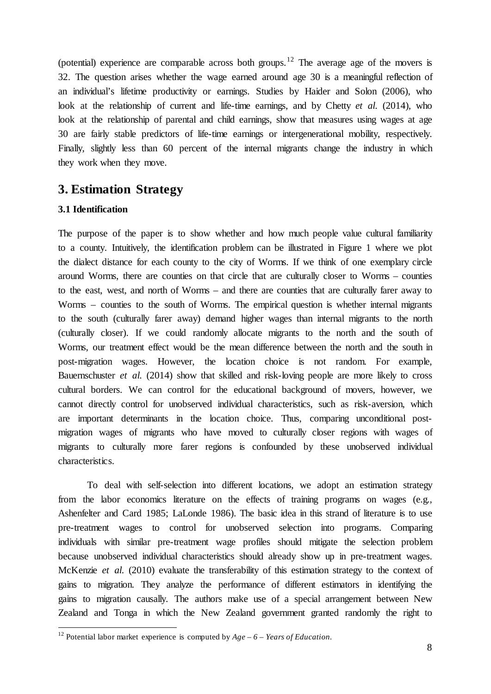(potential) experience are comparable across both groups.<sup>[12](#page-9-0)</sup> The average age of the movers is 32. The question arises whether the wage earned around age 30 is a meaningful reflection of an individual's lifetime productivity or earnings. Studies by Haider and Solon (2006), who look at the relationship of current and life-time earnings, and by Chetty *et al.* (2014), who look at the relationship of parental and child earnings, show that measures using wages at age 30 are fairly stable predictors of life-time earnings or intergenerational mobility, respectively. Finally, slightly less than 60 percent of the internal migrants change the industry in which they work when they move.

# **3. Estimation Strategy**

#### **3.1 Identification**

<u>.</u>

The purpose of the paper is to show whether and how much people value cultural familiarity to a county. Intuitively, the identification problem can be illustrated in Figure 1 where we plot the dialect distance for each county to the city of Worms. If we think of one exemplary circle around Worms, there are counties on that circle that are culturally closer to Worms – counties to the east, west, and north of Worms – and there are counties that are culturally farer away to Worms – counties to the south of Worms. The empirical question is whether internal migrants to the south (culturally farer away) demand higher wages than internal migrants to the north (culturally closer). If we could randomly allocate migrants to the north and the south of Worms, our treatment effect would be the mean difference between the north and the south in post-migration wages. However, the location choice is not random. For example, Bauernschuster *et al.* (2014) show that skilled and risk-loving people are more likely to cross cultural borders. We can control for the educational background of movers, however, we cannot directly control for unobserved individual characteristics, such as risk-aversion, which are important determinants in the location choice. Thus, comparing unconditional postmigration wages of migrants who have moved to culturally closer regions with wages of migrants to culturally more farer regions is confounded by these unobserved individual characteristics.

To deal with self-selection into different locations, we adopt an estimation strategy from the labor economics literature on the effects of training programs on wages (e.g., Ashenfelter and Card 1985; LaLonde 1986). The basic idea in this strand of literature is to use pre-treatment wages to control for unobserved selection into programs. Comparing individuals with similar pre-treatment wage profiles should mitigate the selection problem because unobserved individual characteristics should already show up in pre-treatment wages. McKenzie *et al.* (2010) evaluate the transferability of this estimation strategy to the context of gains to migration. They analyze the performance of different estimators in identifying the gains to migration causally. The authors make use of a special arrangement between New Zealand and Tonga in which the New Zealand government granted randomly the right to

<span id="page-9-0"></span><sup>12</sup> Potential labor market experience is computed by *Age – 6 – Years of Education.*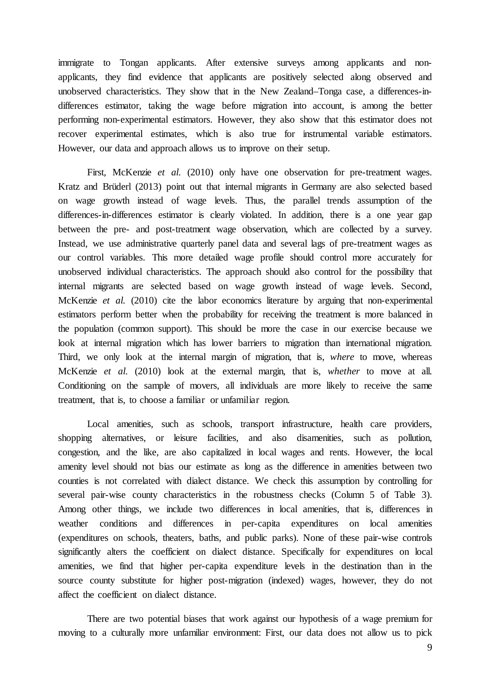immigrate to Tongan applicants. After extensive surveys among applicants and nonapplicants, they find evidence that applicants are positively selected along observed and unobserved characteristics. They show that in the New Zealand–Tonga case, a differences-indifferences estimator, taking the wage before migration into account, is among the better performing non-experimental estimators. However, they also show that this estimator does not recover experimental estimates, which is also true for instrumental variable estimators. However, our data and approach allows us to improve on their setup.

First, McKenzie *et al.* (2010) only have one observation for pre-treatment wages. Kratz and Brüderl (2013) point out that internal migrants in Germany are also selected based on wage growth instead of wage levels. Thus, the parallel trends assumption of the differences-in-differences estimator is clearly violated. In addition, there is a one year gap between the pre- and post-treatment wage observation, which are collected by a survey. Instead, we use administrative quarterly panel data and several lags of pre-treatment wages as our control variables. This more detailed wage profile should control more accurately for unobserved individual characteristics. The approach should also control for the possibility that internal migrants are selected based on wage growth instead of wage levels. Second, McKenzie *et al.* (2010) cite the labor economics literature by arguing that non-experimental estimators perform better when the probability for receiving the treatment is more balanced in the population (common support). This should be more the case in our exercise because we look at internal migration which has lower barriers to migration than international migration. Third, we only look at the internal margin of migration, that is, *where* to move, whereas McKenzie *et al.* (2010) look at the external margin, that is, *whether* to move at all. Conditioning on the sample of movers, all individuals are more likely to receive the same treatment, that is, to choose a familiar or unfamiliar region.

Local amenities, such as schools, transport infrastructure, health care providers, shopping alternatives, or leisure facilities, and also disamenities, such as pollution, congestion, and the like, are also capitalized in local wages and rents. However, the local amenity level should not bias our estimate as long as the difference in amenities between two counties is not correlated with dialect distance. We check this assumption by controlling for several pair-wise county characteristics in the robustness checks (Column 5 of Table 3). Among other things, we include two differences in local amenities, that is, differences in weather conditions and differences in per-capita expenditures on local amenities (expenditures on schools, theaters, baths, and public parks). None of these pair-wise controls significantly alters the coefficient on dialect distance. Specifically for expenditures on local amenities, we find that higher per-capita expenditure levels in the destination than in the source county substitute for higher post-migration (indexed) wages, however, they do not affect the coefficient on dialect distance.

There are two potential biases that work against our hypothesis of a wage premium for moving to a culturally more unfamiliar environment: First, our data does not allow us to pick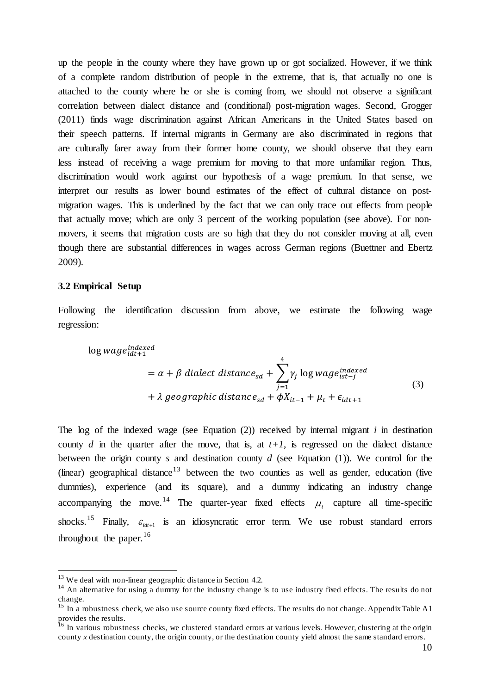up the people in the county where they have grown up or got socialized. However, if we think of a complete random distribution of people in the extreme, that is, that actually no one is attached to the county where he or she is coming from, we should not observe a significant correlation between dialect distance and (conditional) post-migration wages. Second, Grogger (2011) finds wage discrimination against African Americans in the United States based on their speech patterns. If internal migrants in Germany are also discriminated in regions that are culturally farer away from their former home county, we should observe that they earn less instead of receiving a wage premium for moving to that more unfamiliar region. Thus, discrimination would work against our hypothesis of a wage premium. In that sense, we interpret our results as lower bound estimates of the effect of cultural distance on postmigration wages. This is underlined by the fact that we can only trace out effects from people that actually move; which are only 3 percent of the working population (see above). For nonmovers, it seems that migration costs are so high that they do not consider moving at all, even though there are substantial differences in wages across German regions (Buettner and Ebertz 2009).

#### **3.2 Empirical Setup**

-

Following the identification discussion from above, we estimate the following wage regression:

$$
\log wage_{idt+1}^{indexed}
$$
  
=  $\alpha + \beta$  dialect distance<sub>sd</sub> +  $\sum_{j=1}^{4} \gamma_j \log wage_{ist-j}^{indexed}$   
+  $\lambda$  geographic distance<sub>sd</sub> +  $\phi X_{it-1} + \mu_t + \epsilon_{idt+1}$  (3)

The log of the indexed wage (see Equation  $(2)$ ) received by internal migrant *i* in destination county *d* in the quarter after the move, that is, at  $t+1$ , is regressed on the dialect distance between the origin county *s* and destination county *d* (see Equation (1)). We control for the (linear) geographical distance<sup>[13](#page-11-0)</sup> between the two counties as well as gender, education (five dummies), experience (and its square), and a dummy indicating an industry change accompanying the move.<sup>[14](#page-11-1)</sup> The quarter-year fixed effects  $\mu$ , capture all time-specific shocks.<sup>[15](#page-11-2)</sup> Finally,  $\varepsilon_{i,j_{t+1}}$  is an idiosyncratic error term. We use robust standard errors throughout the paper.<sup>[16](#page-11-3)</sup>

 $13$  We deal with non-linear geographic distance in Section 4.2.

<span id="page-11-1"></span><span id="page-11-0"></span><sup>&</sup>lt;sup>14</sup> An alternative for using a dummy for the industry change is to use industry fixed effects. The results do not change.

<span id="page-11-2"></span><sup>&</sup>lt;sup>15</sup> In a robustness check, we also use source county fixed effects. The results do not change. Appendix Table A1 provides the results.

<span id="page-11-3"></span><sup>&</sup>lt;sup>16</sup> In various robustness checks, we clustered standard errors at various levels. However, clustering at the origin county *x* destination county, the origin county, or the destination county yield almost the same standard errors.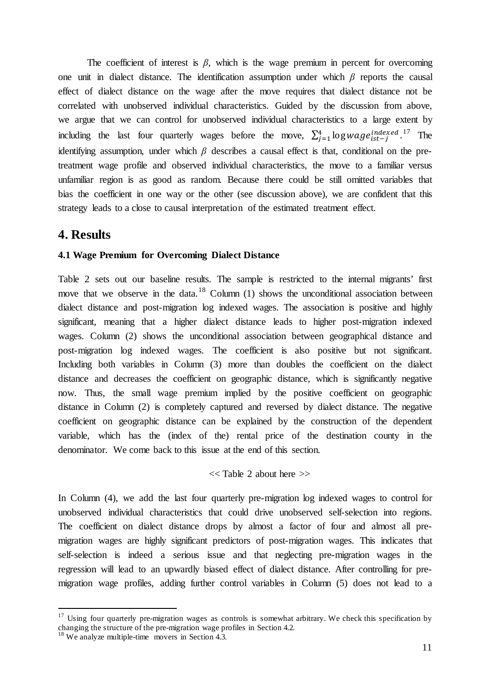The coefficient of interest is  $\beta$ , which is the wage premium in percent for overcoming one unit in dialect distance. The identification assumption under which *β* reports the causal effect of dialect distance on the wage after the move requires that dialect distance not be correlated with unobserved individual characteristics. Guided by the discussion from above, we argue that we can control for unobserved individual characteristics to a large extent by including the last four quarterly wages before the move,  $\sum_{j=1}^{4} \log wage^{indezed}$ .<sup>[17](#page-12-0)</sup> The identifying assumption, under which  $\beta$  describes a causal effect is that, conditional on the pretreatment wage profile and observed individual characteristics, the move to a familiar versus unfamiliar region is as good as random. Because there could be still omitted variables that bias the coefficient in one way or the other (see discussion above), we are confident that this strategy leads to a close to causal interpretation of the estimated treatment effect.

### **4. Results**

#### **4.1 Wage Premium for Overcoming Dialect Distance**

Table 2 sets out our baseline results. The sample is restricted to the internal migrants' first move that we observe in the data.<sup>[18](#page-12-1)</sup> Column  $(1)$  shows the unconditional association between dialect distance and post-migration log indexed wages. The association is positive and highly significant, meaning that a higher dialect distance leads to higher post-migration indexed wages. Column (2) shows the unconditional association between geographical distance and post-migration log indexed wages. The coefficient is also positive but not significant. Including both variables in Column (3) more than doubles the coefficient on the dialect distance and decreases the coefficient on geographic distance, which is significantly negative now. Thus, the small wage premium implied by the positive coefficient on geographic distance in Column (2) is completely captured and reversed by dialect distance. The negative coefficient on geographic distance can be explained by the construction of the dependent variable, which has the (index of the) rental price of the destination county in the denominator. We come back to this issue at the end of this section.

 $<<$  Table 2 about here  $>>$ 

In Column (4), we add the last four quarterly pre-migration log indexed wages to control for unobserved individual characteristics that could drive unobserved self-selection into regions. The coefficient on dialect distance drops by almost a factor of four and almost all premigration wages are highly significant predictors of post-migration wages. This indicates that self-selection is indeed a serious issue and that neglecting pre-migration wages in the regression will lead to an upwardly biased effect of dialect distance. After controlling for premigration wage profiles, adding further control variables in Column (5) does not lead to a

<u>.</u>

<span id="page-12-0"></span><sup>&</sup>lt;sup>17</sup> Using four quarterly pre-migration wages as controls is somewhat arbitrary. We check this specification by changing the structure of the pre-migration wage profiles in Section 4.2.

<span id="page-12-1"></span><sup>&</sup>lt;sup>18</sup> We analyze multiple-time movers in Section 4.3.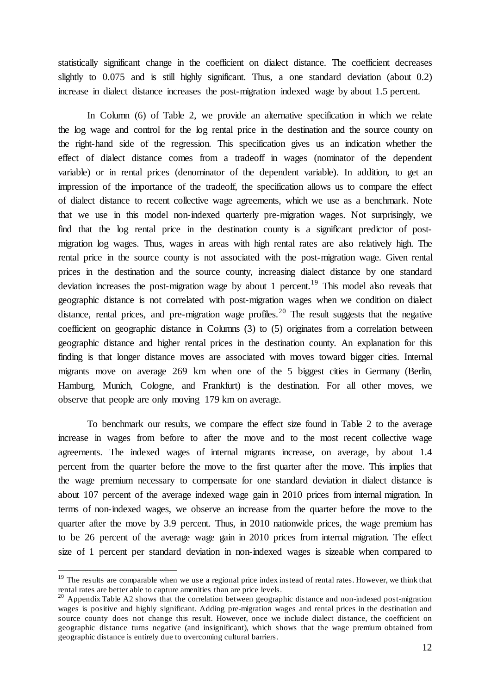statistically significant change in the coefficient on dialect distance. The coefficient decreases slightly to 0.075 and is still highly significant. Thus, a one standard deviation (about 0.2) increase in dialect distance increases the post-migration indexed wage by about 1.5 percent.

In Column (6) of Table 2, we provide an alternative specification in which we relate the log wage and control for the log rental price in the destination and the source county on the right-hand side of the regression. This specification gives us an indication whether the effect of dialect distance comes from a tradeoff in wages (nominator of the dependent variable) or in rental prices (denominator of the dependent variable). In addition, to get an impression of the importance of the tradeoff, the specification allows us to compare the effect of dialect distance to recent collective wage agreements, which we use as a benchmark. Note that we use in this model non-indexed quarterly pre-migration wages. Not surprisingly, we find that the log rental price in the destination county is a significant predictor of postmigration log wages. Thus, wages in areas with high rental rates are also relatively high. The rental price in the source county is not associated with the post-migration wage. Given rental prices in the destination and the source county, increasing dialect distance by one standard deviation increases the post-migration wage by about 1 percent.<sup>[19](#page-13-0)</sup> This model also reveals that geographic distance is not correlated with post-migration wages when we condition on dialect distance, rental prices, and pre-migration wage profiles.<sup>[20](#page-13-1)</sup> The result suggests that the negative coefficient on geographic distance in Columns (3) to (5) originates from a correlation between geographic distance and higher rental prices in the destination county. An explanation for this finding is that longer distance moves are associated with moves toward bigger cities. Internal migrants move on average 269 km when one of the 5 biggest cities in Germany (Berlin, Hamburg, Munich, Cologne, and Frankfurt) is the destination. For all other moves, we observe that people are only moving 179 km on average.

To benchmark our results, we compare the effect size found in Table 2 to the average increase in wages from before to after the move and to the most recent collective wage agreements. The indexed wages of internal migrants increase, on average, by about 1.4 percent from the quarter before the move to the first quarter after the move. This implies that the wage premium necessary to compensate for one standard deviation in dialect distance is about 107 percent of the average indexed wage gain in 2010 prices from internal migration. In terms of non-indexed wages, we observe an increase from the quarter before the move to the quarter after the move by 3.9 percent. Thus, in 2010 nationwide prices, the wage premium has to be 26 percent of the average wage gain in 2010 prices from internal migration. The effect size of 1 percent per standard deviation in non-indexed wages is sizeable when compared to

-

<span id="page-13-0"></span><sup>&</sup>lt;sup>19</sup> The results are comparable when we use a regional price index instead of rental rates. However, we think that rental rates are better able to capture amenities than are price levels.

<span id="page-13-1"></span> $20$  Appendix Table A2 shows that the correlation between geographic distance and non-indexed post-migration wages is positive and highly significant. Adding pre-migration wages and rental prices in the destination and source county does not change this result. However, once we include dialect distance, the coefficient on geographic distance turns negative (and insignificant), which shows that the wage premium obtained from geographic distance is entirely due to overcoming cultural barriers.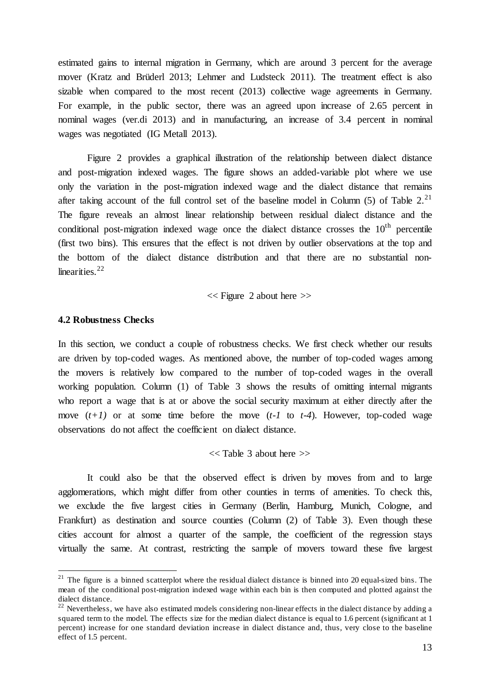estimated gains to internal migration in Germany, which are around 3 percent for the average mover (Kratz and Brüderl 2013; Lehmer and Ludsteck 2011). The treatment effect is also sizable when compared to the most recent (2013) collective wage agreements in Germany. For example, in the public sector, there was an agreed upon increase of 2.65 percent in nominal wages (ver.di 2013) and in manufacturing, an increase of 3.4 percent in nominal wages was negotiated (IG Metall 2013).

Figure 2 provides a graphical illustration of the relationship between dialect distance and post-migration indexed wages. The figure shows an added-variable plot where we use only the variation in the post-migration indexed wage and the dialect distance that remains after taking account of the full control set of the baseline model in Column  $(5)$  of Table 2.<sup>[21](#page-14-0)</sup> The figure reveals an almost linear relationship between residual dialect distance and the conditional post-migration indexed wage once the dialect distance crosses the  $10<sup>th</sup>$  percentile (first two bins). This ensures that the effect is not driven by outlier observations at the top and the bottom of the dialect distance distribution and that there are no substantial non-linearities.<sup>[22](#page-14-1)</sup>

 $<<$  Figure 2 about here  $>>$ 

#### **4.2 Robustness Checks**

-

In this section, we conduct a couple of robustness checks. We first check whether our results are driven by top-coded wages. As mentioned above, the number of top-coded wages among the movers is relatively low compared to the number of top-coded wages in the overall working population. Column (1) of Table 3 shows the results of omitting internal migrants who report a wage that is at or above the social security maximum at either directly after the move  $(t+1)$  or at some time before the move  $(t-1)$  to  $t-4$ ). However, top-coded wage observations do not affect the coefficient on dialect distance.

$$
\ll
$$
 Table 3 about here  $>$ 

It could also be that the observed effect is driven by moves from and to large agglomerations, which might differ from other counties in terms of amenities. To check this, we exclude the five largest cities in Germany (Berlin, Hamburg, Munich, Cologne, and Frankfurt) as destination and source counties (Column (2) of Table 3). Even though these cities account for almost a quarter of the sample, the coefficient of the regression stays virtually the same. At contrast, restricting the sample of movers toward these five largest

<span id="page-14-0"></span> $21$  The figure is a binned scatterplot where the residual dialect distance is binned into 20 equal-sized bins. The mean of the conditional post-migration indexed wage within each bin is then computed and plotted against the dialect distance.

<span id="page-14-1"></span><sup>&</sup>lt;sup>22</sup> Nevertheless, we have also estimated models considering non-linear effects in the dialect distance by adding a squared term to the model. The effects size for the median dialect distance is equal to 1.6 percent (significant at 1 percent) increase for one standard deviation increase in dialect distance and, thus, very close to the baseline effect of 1.5 percent.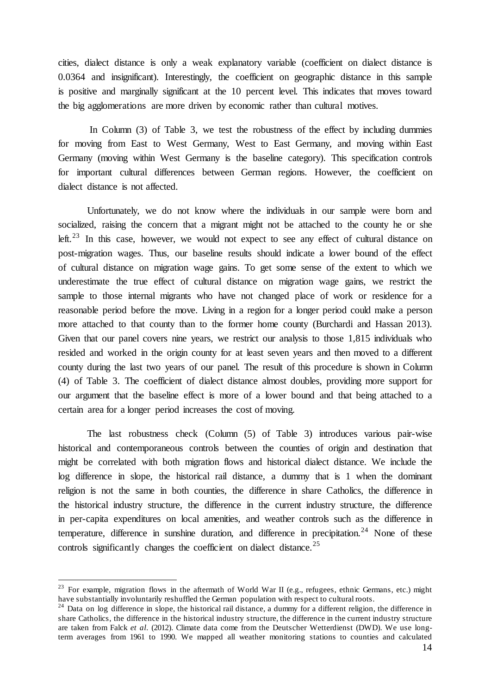cities, dialect distance is only a weak explanatory variable (coefficient on dialect distance is 0.0364 and insignificant). Interestingly, the coefficient on geographic distance in this sample is positive and marginally significant at the 10 percent level. This indicates that moves toward the big agglomerations are more driven by economic rather than cultural motives.

In Column (3) of Table 3, we test the robustness of the effect by including dummies for moving from East to West Germany, West to East Germany, and moving within East Germany (moving within West Germany is the baseline category). This specification controls for important cultural differences between German regions. However, the coefficient on dialect distance is not affected.

Unfortunately, we do not know where the individuals in our sample were born and socialized, raising the concern that a migrant might not be attached to the county he or she left.<sup>[23](#page-15-0)</sup> In this case, however, we would not expect to see any effect of cultural distance on post-migration wages. Thus, our baseline results should indicate a lower bound of the effect of cultural distance on migration wage gains. To get some sense of the extent to which we underestimate the true effect of cultural distance on migration wage gains, we restrict the sample to those internal migrants who have not changed place of work or residence for a reasonable period before the move. Living in a region for a longer period could make a person more attached to that county than to the former home county (Burchardi and Hassan 2013). Given that our panel covers nine years, we restrict our analysis to those 1,815 individuals who resided and worked in the origin county for at least seven years and then moved to a different county during the last two years of our panel. The result of this procedure is shown in Column (4) of Table 3. The coefficient of dialect distance almost doubles, providing more support for our argument that the baseline effect is more of a lower bound and that being attached to a certain area for a longer period increases the cost of moving.

The last robustness check (Column (5) of Table 3) introduces various pair-wise historical and contemporaneous controls between the counties of origin and destination that might be correlated with both migration flows and historical dialect distance. We include the log difference in slope, the historical rail distance, a dummy that is 1 when the dominant religion is not the same in both counties, the difference in share Catholics, the difference in the historical industry structure, the difference in the current industry structure, the difference in per-capita expenditures on local amenities, and weather controls such as the difference in temperature, difference in sunshine duration, and difference in precipitation.<sup>[24](#page-15-1)</sup> None of these controls significantly changes the coefficient on dialect distance.<sup>[25](#page-15-2)</sup>

-

<span id="page-15-0"></span><sup>&</sup>lt;sup>23</sup> For example, migration flows in the aftermath of World War II (e.g., refugees, ethnic Germans, etc.) might have substantially involuntarily reshuffled the German population with respect to cultural roots.

<span id="page-15-2"></span><span id="page-15-1"></span><sup>&</sup>lt;sup>24</sup> Data on log difference in slope, the historical rail distance, a dummy for a different religion, the difference in share Catholics, the difference in the historical industry structure, the difference in the current industry structure are taken from Falck *et al.* (2012). Climate data come from the Deutscher Wetterdienst (DWD). We use longterm averages from 1961 to 1990. We mapped all weather monitoring stations to counties and calculated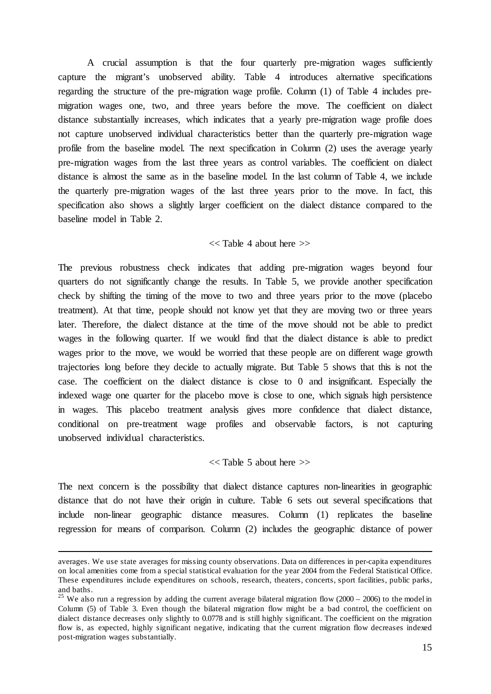A crucial assumption is that the four quarterly pre-migration wages sufficiently capture the migrant's unobserved ability. Table 4 introduces alternative specifications regarding the structure of the pre-migration wage profile. Column (1) of Table 4 includes premigration wages one, two, and three years before the move. The coefficient on dialect distance substantially increases, which indicates that a yearly pre-migration wage profile does not capture unobserved individual characteristics better than the quarterly pre-migration wage profile from the baseline model. The next specification in Column (2) uses the average yearly pre-migration wages from the last three years as control variables. The coefficient on dialect distance is almost the same as in the baseline model. In the last column of Table 4, we include the quarterly pre-migration wages of the last three years prior to the move. In fact, this specification also shows a slightly larger coefficient on the dialect distance compared to the baseline model in Table 2.

#### $<<$  Table 4 about here  $>>$

The previous robustness check indicates that adding pre-migration wages beyond four quarters do not significantly change the results. In Table 5, we provide another specification check by shifting the timing of the move to two and three years prior to the move (placebo treatment). At that time, people should not know yet that they are moving two or three years later. Therefore, the dialect distance at the time of the move should not be able to predict wages in the following quarter. If we would find that the dialect distance is able to predict wages prior to the move, we would be worried that these people are on different wage growth trajectories long before they decide to actually migrate. But Table 5 shows that this is not the case. The coefficient on the dialect distance is close to 0 and insignificant. Especially the indexed wage one quarter for the placebo move is close to one, which signals high persistence in wages. This placebo treatment analysis gives more confidence that dialect distance, conditional on pre-treatment wage profiles and observable factors, is not capturing unobserved individual characteristics.

#### $<<$  Table 5 about here  $>>$

The next concern is the possibility that dialect distance captures non-linearities in geographic distance that do not have their origin in culture. Table 6 sets out several specifications that include non-linear geographic distance measures. Column (1) replicates the baseline regression for means of comparison. Column (2) includes the geographic distance of power

<u>.</u>

averages. We use state averages for missing county observations. Data on differences in per-capita expenditures on local amenities come from a special statistical evaluation for the year 2004 from the Federal Statistical Office. These expenditures include expenditures on schools, research, theaters, concerts, sport facilities, public parks, and baths.

<sup>&</sup>lt;sup>25</sup> We also run a regression by adding the current average bilateral migration flow  $(2000 - 2006)$  to the model in Column (5) of Table 3. Even though the bilateral migration flow might be a bad control, the coefficient on dialect distance decreases only slightly to 0.0778 and is still highly significant. The coefficient on the migration flow is, as expected, highly significant negative, indicating that the current migration flow decreases indexed post-migration wages substantially.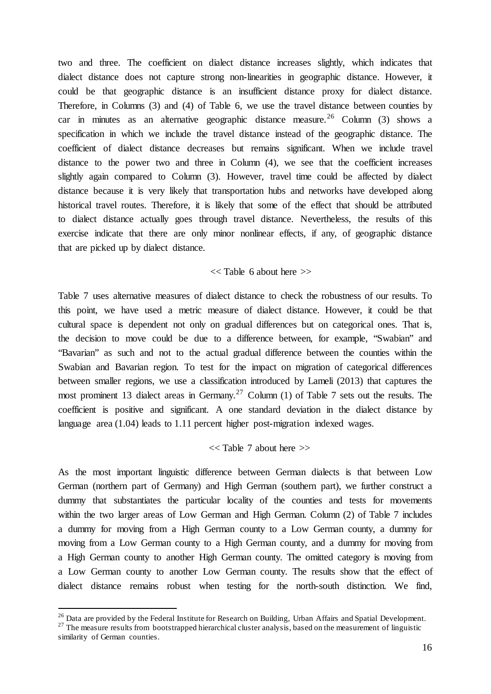two and three. The coefficient on dialect distance increases slightly, which indicates that dialect distance does not capture strong non-linearities in geographic distance. However, it could be that geographic distance is an insufficient distance proxy for dialect distance. Therefore, in Columns (3) and (4) of Table 6, we use the travel distance between counties by car in minutes as an alternative geographic distance measure.<sup>[26](#page-17-0)</sup> Column (3) shows a specification in which we include the travel distance instead of the geographic distance. The coefficient of dialect distance decreases but remains significant. When we include travel distance to the power two and three in Column (4), we see that the coefficient increases slightly again compared to Column (3). However, travel time could be affected by dialect distance because it is very likely that transportation hubs and networks have developed along historical travel routes. Therefore, it is likely that some of the effect that should be attributed to dialect distance actually goes through travel distance. Nevertheless, the results of this exercise indicate that there are only minor nonlinear effects, if any, of geographic distance that are picked up by dialect distance.

#### $<<$  Table 6 about here  $>>$

Table 7 uses alternative measures of dialect distance to check the robustness of our results. To this point, we have used a metric measure of dialect distance. However, it could be that cultural space is dependent not only on gradual differences but on categorical ones. That is, the decision to move could be due to a difference between, for example, "Swabian" and "Bavarian" as such and not to the actual gradual difference between the counties within the Swabian and Bavarian region. To test for the impact on migration of categorical differences between smaller regions, we use a classification introduced by Lameli (2013) that captures the most prominent 13 dialect areas in Germany.<sup>[27](#page-17-1)</sup> Column (1) of Table 7 sets out the results. The coefficient is positive and significant. A one standard deviation in the dialect distance by language area (1.04) leads to 1.11 percent higher post-migration indexed wages.

#### $<<$  Table 7 about here  $>>$

As the most important linguistic difference between German dialects is that between Low German (northern part of Germany) and High German (southern part), we further construct a dummy that substantiates the particular locality of the counties and tests for movements within the two larger areas of Low German and High German. Column (2) of Table 7 includes a dummy for moving from a High German county to a Low German county, a dummy for moving from a Low German county to a High German county, and a dummy for moving from a High German county to another High German county. The omitted category is moving from a Low German county to another Low German county. The results show that the effect of dialect distance remains robust when testing for the north-south distinction. We find,

<u>.</u>

<sup>&</sup>lt;sup>26</sup> Data are provided by the Federal Institute for Research on Building, Urban Affairs and Spatial Development.

<span id="page-17-1"></span><span id="page-17-0"></span><sup>&</sup>lt;sup>27</sup> The measure results from bootstrapped hierarchical cluster analysis, based on the measurement of linguistic similarity of German counties.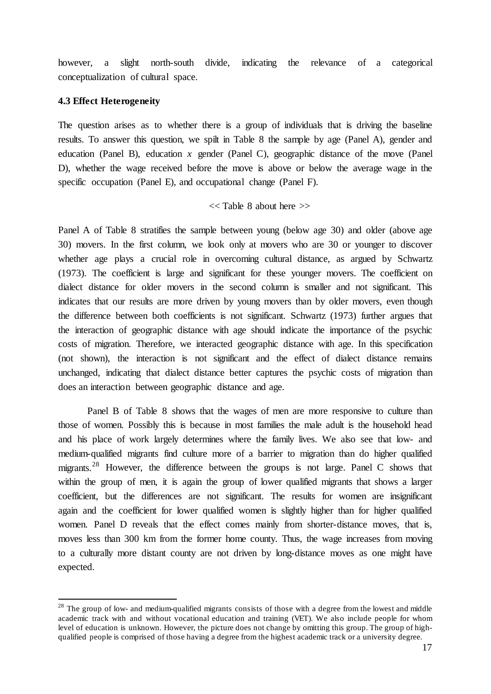however, a slight north-south divide, indicating the relevance of a categorical conceptualization of cultural space.

#### **4.3 Effect Heterogeneity**

<u>.</u>

The question arises as to whether there is a group of individuals that is driving the baseline results. To answer this question, we spilt in Table 8 the sample by age (Panel A), gender and education (Panel B), education *x* gender (Panel C), geographic distance of the move (Panel D), whether the wage received before the move is above or below the average wage in the specific occupation (Panel E), and occupational change (Panel F).

$$
<<
$$
 Table 8 about here  $>>$ 

Panel A of Table 8 stratifies the sample between young (below age 30) and older (above age 30) movers. In the first column, we look only at movers who are 30 or younger to discover whether age plays a crucial role in overcoming cultural distance, as argued by Schwartz (1973). The coefficient is large and significant for these younger movers. The coefficient on dialect distance for older movers in the second column is smaller and not significant. This indicates that our results are more driven by young movers than by older movers, even though the difference between both coefficients is not significant. Schwartz (1973) further argues that the interaction of geographic distance with age should indicate the importance of the psychic costs of migration. Therefore, we interacted geographic distance with age. In this specification (not shown), the interaction is not significant and the effect of dialect distance remains unchanged, indicating that dialect distance better captures the psychic costs of migration than does an interaction between geographic distance and age.

Panel B of Table 8 shows that the wages of men are more responsive to culture than those of women. Possibly this is because in most families the male adult is the household head and his place of work largely determines where the family lives. We also see that low- and medium-qualified migrants find culture more of a barrier to migration than do higher qualified migrants.<sup>[28](#page-18-0)</sup> However, the difference between the groups is not large. Panel C shows that within the group of men, it is again the group of lower qualified migrants that shows a larger coefficient, but the differences are not significant. The results for women are insignificant again and the coefficient for lower qualified women is slightly higher than for higher qualified women. Panel D reveals that the effect comes mainly from shorter-distance moves, that is, moves less than 300 km from the former home county. Thus, the wage increases from moving to a culturally more distant county are not driven by long-distance moves as one might have expected.

<span id="page-18-0"></span><sup>&</sup>lt;sup>28</sup> The group of low- and medium-qualified migrants consists of those with a degree from the lowest and middle academic track with and without vocational education and training (VET). We also include people for whom level of education is unknown. However, the picture does not change by omitting this group. The group of highqualified people is comprised of those having a degree from the highest academic track or a university degree.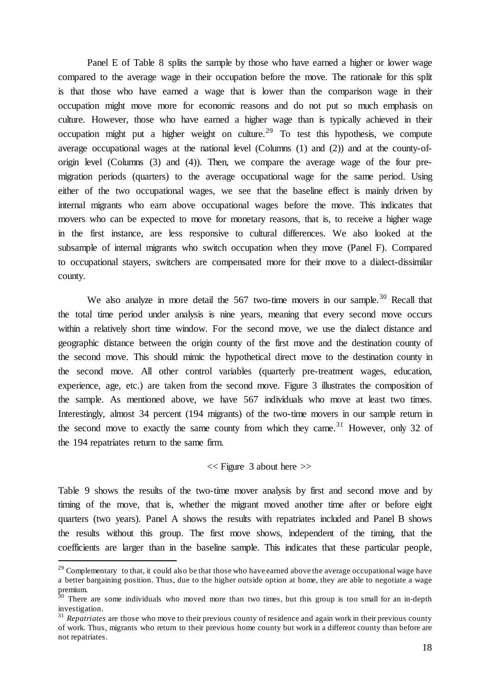Panel E of Table 8 splits the sample by those who have earned a higher or lower wage compared to the average wage in their occupation before the move. The rationale for this split is that those who have earned a wage that is lower than the comparison wage in their occupation might move more for economic reasons and do not put so much emphasis on culture. However, those who have earned a higher wage than is typically achieved in their occupation might put a higher weight on culture.<sup>[29](#page-19-0)</sup> To test this hypothesis, we compute average occupational wages at the national level (Columns (1) and (2)) and at the county-oforigin level (Columns (3) and (4)). Then, we compare the average wage of the four premigration periods (quarters) to the average occupational wage for the same period. Using either of the two occupational wages, we see that the baseline effect is mainly driven by internal migrants who earn above occupational wages before the move. This indicates that movers who can be expected to move for monetary reasons, that is, to receive a higher wage in the first instance, are less responsive to cultural differences. We also looked at the subsample of internal migrants who switch occupation when they move (Panel F). Compared to occupational stayers, switchers are compensated more for their move to a dialect-dissimilar county.

We also analyze in more detail the  $567$  two-time movers in our sample.<sup>[30](#page-19-1)</sup> Recall that the total time period under analysis is nine years, meaning that every second move occurs within a relatively short time window. For the second move, we use the dialect distance and geographic distance between the origin county of the first move and the destination county of the second move. This should mimic the hypothetical direct move to the destination county in the second move. All other control variables (quarterly pre-treatment wages, education, experience, age, etc.) are taken from the second move. Figure 3 illustrates the composition of the sample. As mentioned above, we have 567 individuals who move at least two times. Interestingly, almost 34 percent (194 migrants) of the two-time movers in our sample return in the second move to exactly the same county from which they came.<sup>[31](#page-19-2)</sup> However, only 32 of the 194 repatriates return to the same firm.

#### $<<$  Figure 3 about here  $>>$

Table 9 shows the results of the two-time mover analysis by first and second move and by timing of the move, that is, whether the migrant moved another time after or before eight quarters (two years). Panel A shows the results with repatriates included and Panel B shows the results without this group. The first move shows, independent of the timing, that the coefficients are larger than in the baseline sample. This indicates that these particular people,

<u>.</u>

<span id="page-19-0"></span><sup>&</sup>lt;sup>29</sup> Complementary to that, it could also be that those who have earned above the average occupational wage have a better bargaining position. Thus, due to the higher outside option at home, they are able to negotiate a wage premium.

<span id="page-19-1"></span> $30$  There are some individuals who moved more than two times, but this group is too small for an in-depth investigation.

<span id="page-19-2"></span><sup>&</sup>lt;sup>31</sup> *Repatriates* are those who move to their previous county of residence and again work in their previous county of work. Thus, migrants who return to their previous home county but work in a different county than before are not repatriates.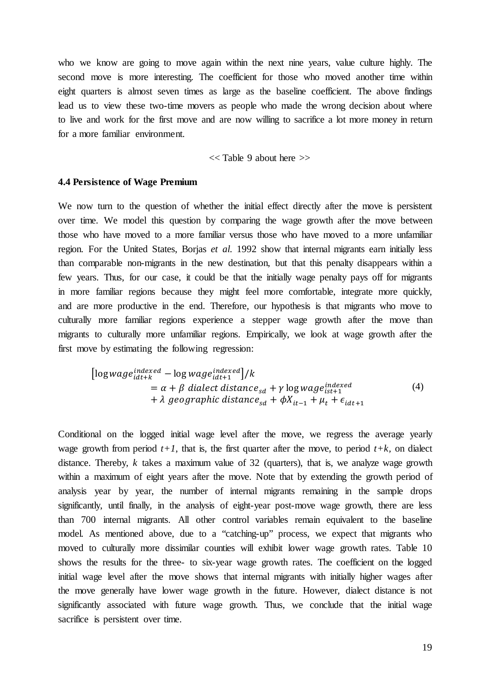who we know are going to move again within the next nine years, value culture highly. The second move is more interesting. The coefficient for those who moved another time within eight quarters is almost seven times as large as the baseline coefficient. The above findings lead us to view these two-time movers as people who made the wrong decision about where to live and work for the first move and are now willing to sacrifice a lot more money in return for a more familiar environment.

 $<<$  Table 9 about here  $>>$ 

#### **4.4 Persistence of Wage Premium**

We now turn to the question of whether the initial effect directly after the move is persistent over time. We model this question by comparing the wage growth after the move between those who have moved to a more familiar versus those who have moved to a more unfamiliar region. For the United States, Borjas *et al.* 1992 show that internal migrants earn initially less than comparable non-migrants in the new destination, but that this penalty disappears within a few years. Thus, for our case, it could be that the initially wage penalty pays off for migrants in more familiar regions because they might feel more comfortable, integrate more quickly, and are more productive in the end. Therefore, our hypothesis is that migrants who move to culturally more familiar regions experience a stepper wage growth after the move than migrants to culturally more unfamiliar regions. Empirically, we look at wage growth after the first move by estimating the following regression:

$$
[\log wage_{idt+k}^{indexed} - \log wage_{idt+1}^{indexed}]/k
$$
  
=  $\alpha + \beta$  dialect distance<sub>sd</sub> +  $\gamma$  log wage<sub>ist+1</sub><sup>indexed</sup>  
+  $\lambda$  geographic distance<sub>sd</sub> +  $\phi X_{it-1} + \mu_t + \epsilon_{idt+1}$  (4)

Conditional on the logged initial wage level after the move, we regress the average yearly wage growth from period  $t+1$ , that is, the first quarter after the move, to period  $t+k$ , on dialect distance. Thereby, *k* takes a maximum value of 32 (quarters), that is, we analyze wage growth within a maximum of eight years after the move. Note that by extending the growth period of analysis year by year, the number of internal migrants remaining in the sample drops significantly, until finally, in the analysis of eight-year post-move wage growth, there are less than 700 internal migrants. All other control variables remain equivalent to the baseline model. As mentioned above, due to a "catching-up" process, we expect that migrants who moved to culturally more dissimilar counties will exhibit lower wage growth rates. Table 10 shows the results for the three- to six-year wage growth rates. The coefficient on the logged initial wage level after the move shows that internal migrants with initially higher wages after the move generally have lower wage growth in the future. However, dialect distance is not significantly associated with future wage growth. Thus, we conclude that the initial wage sacrifice is persistent over time.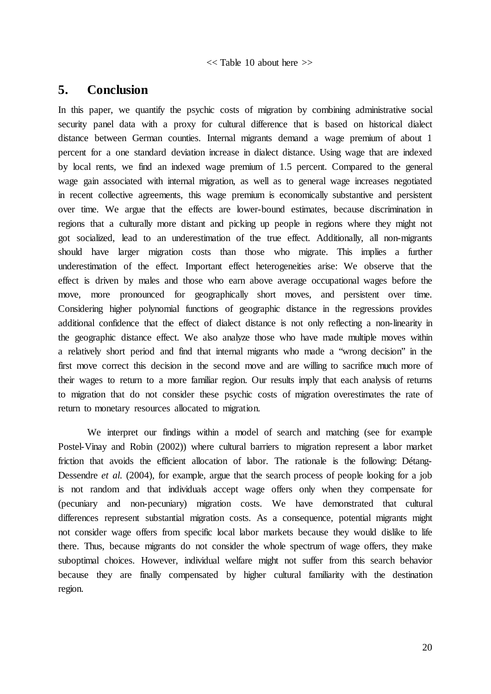$<<$  Table 10 about here  $>>$ 

### **5. Conclusion**

In this paper, we quantify the psychic costs of migration by combining administrative social security panel data with a proxy for cultural difference that is based on historical dialect distance between German counties. Internal migrants demand a wage premium of about 1 percent for a one standard deviation increase in dialect distance. Using wage that are indexed by local rents, we find an indexed wage premium of 1.5 percent. Compared to the general wage gain associated with internal migration, as well as to general wage increases negotiated in recent collective agreements, this wage premium is economically substantive and persistent over time. We argue that the effects are lower-bound estimates, because discrimination in regions that a culturally more distant and picking up people in regions where they might not got socialized, lead to an underestimation of the true effect. Additionally, all non-migrants should have larger migration costs than those who migrate. This implies a further underestimation of the effect. Important effect heterogeneities arise: We observe that the effect is driven by males and those who earn above average occupational wages before the move, more pronounced for geographically short moves, and persistent over time. Considering higher polynomial functions of geographic distance in the regressions provides additional confidence that the effect of dialect distance is not only reflecting a non-linearity in the geographic distance effect. We also analyze those who have made multiple moves within a relatively short period and find that internal migrants who made a "wrong decision" in the first move correct this decision in the second move and are willing to sacrifice much more of their wages to return to a more familiar region. Our results imply that each analysis of returns to migration that do not consider these psychic costs of migration overestimates the rate of return to monetary resources allocated to migration.

We interpret our findings within a model of search and matching (see for example Postel-Vinay and Robin (2002)) where cultural barriers to migration represent a labor market friction that avoids the efficient allocation of labor. The rationale is the following: Détang-Dessendre *et al.* (2004), for example, argue that the search process of people looking for a job is not random and that individuals accept wage offers only when they compensate for (pecuniary and non-pecuniary) migration costs. We have demonstrated that cultural differences represent substantial migration costs. As a consequence, potential migrants might not consider wage offers from specific local labor markets because they would dislike to life there. Thus, because migrants do not consider the whole spectrum of wage offers, they make suboptimal choices. However, individual welfare might not suffer from this search behavior because they are finally compensated by higher cultural familiarity with the destination region.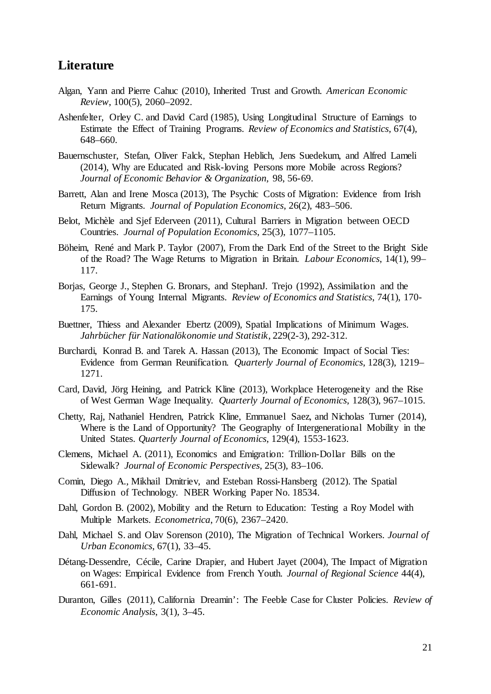## **Literature**

- Algan, Yann and Pierre Cahuc (2010), Inherited Trust and Growth. *American Economic Review*, 100(5), 2060–2092.
- Ashenfelter, Orley C. and David Card (1985), Using Longitudinal Structure of Earnings to Estimate the Effect of Training Programs. *Review of Economics and Statistics*, 67(4), 648–660.
- Bauernschuster, Stefan, Oliver Falck, Stephan Heblich, Jens Suedekum, and Alfred Lameli (2014), Why are Educated and Risk-loving Persons more Mobile across Regions? *Journal of Economic Behavior & Organization*, 98, 56-69.
- Barrett, Alan and Irene Mosca (2013), The Psychic Costs of Migration: Evidence from Irish Return Migrants. *Journal of Population Economics*, 26(2), 483–506.
- Belot, Michèle and Sjef Ederveen (2011), Cultural Barriers in Migration between OECD Countries. *Journal of Population Economics*, 25(3), 1077–1105.
- Böheim, René and Mark P. Taylor (2007), From the Dark End of the Street to the Bright Side of the Road? The Wage Returns to Migration in Britain. *Labour Economics*, 14(1), 99– 117.
- Borjas, George J., Stephen G. Bronars, and StephanJ. Trejo (1992), Assimilation and the Earnings of Young Internal Migrants. *Review of Economics and Statistics*, 74(1), 170- 175.
- Buettner, Thiess and Alexander Ebertz (2009), Spatial Implications of Minimum Wages. *Jahrbücher für Nationalökonomie und Statistik*, 229(2-3), 292-312.
- Burchardi, Konrad B. and Tarek A. Hassan (2013), The Economic Impact of Social Ties: Evidence from German Reunification. *Quarterly Journal of Economics*, 128(3), 1219– 1271.
- Card, David, Jörg Heining, and Patrick Kline (2013), Workplace Heterogeneity and the Rise of West German Wage Inequality. *Quarterly Journal of Economics*, 128(3), 967–1015.
- Chetty, Raj, Nathaniel Hendren, Patrick Kline, Emmanuel Saez, and Nicholas Turner (2014), Where is the Land of Opportunity? The Geography of Intergenerational Mobility in the United States. *Quarterly Journal of Economics*, 129(4), 1553-1623.
- Clemens, Michael A. (2011), Economics and Emigration: Trillion-Dollar Bills on the Sidewalk? *Journal of Economic Perspectives*, 25(3), 83–106.
- Comin, Diego A., Mikhail Dmitriev, and Esteban Rossi-Hansberg (2012). The Spatial Diffusion of Technology. NBER Working Paper No. 18534.
- Dahl, Gordon B. (2002), Mobility and the Return to Education: Testing a Roy Model with Multiple Markets. *Econometrica*, 70(6), 2367–2420.
- Dahl, Michael S. and Olav Sorenson (2010), The Migration of Technical Workers. *Journal of Urban Economics*, 67(1), 33–45.
- Détang-Dessendre, Cécile, Carine Drapier, and Hubert Jayet (2004), The Impact of Migration on Wages: Empirical Evidence from French Youth. *Journal of Regional Science* 44(4), 661-691.
- Duranton, Gilles (2011), California Dreamin': The Feeble Case for Cluster Policies. *Review of Economic Analysis*, 3(1), 3–45.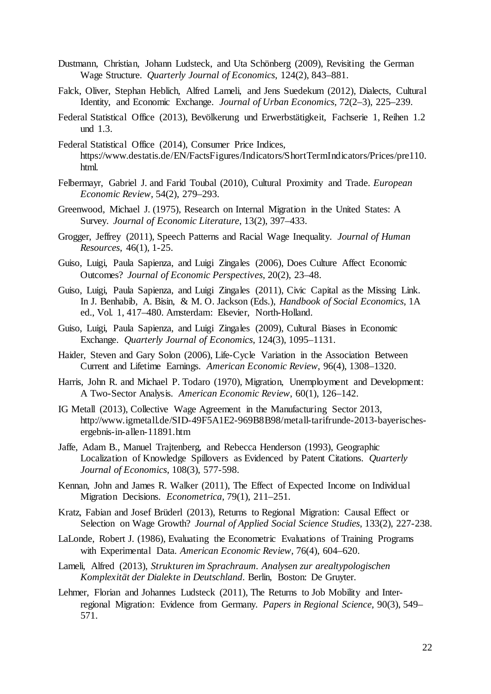- Dustmann, Christian, Johann Ludsteck, and Uta Schönberg (2009), Revisiting the German Wage Structure. *Quarterly Journal of Economics*, 124(2), 843–881.
- Falck, Oliver, Stephan Heblich, Alfred Lameli, and Jens Suedekum (2012), Dialects, Cultural Identity, and Economic Exchange. *Journal of Urban Economics*, 72(2–3), 225–239.
- Federal Statistical Office (2013), Bevölkerung und Erwerbstätigkeit, Fachserie 1, Reihen 1.2 und 1.3.
- Federal Statistical Office (2014), Consumer Price Indices, https://www.destatis.de/EN/FactsFigures/Indicators/ShortTermIndicators/Prices/pre110. html.
- Felbermayr, Gabriel J. and Farid Toubal (2010), Cultural Proximity and Trade. *European Economic Review*, 54(2), 279–293.
- Greenwood, Michael J. (1975), Research on Internal Migration in the United States: A Survey. *Journal of Economic Literature*, 13(2), 397–433.
- Grogger, Jeffrey (2011), Speech Patterns and Racial Wage Inequality. *Journal of Human Resources*, 46(1), 1-25.
- Guiso, Luigi, Paula Sapienza, and Luigi Zingales (2006), Does Culture Affect Economic Outcomes? *Journal of Economic Perspectives*, 20(2), 23–48.
- Guiso, Luigi, Paula Sapienza, and Luigi Zingales (2011), Civic Capital as the Missing Link. In J. Benhabib, A. Bisin, & M. O. Jackson (Eds.), *Handbook of Social Economics*, 1A ed., Vol. 1, 417–480. Amsterdam: Elsevier, North-Holland.
- Guiso, Luigi, Paula Sapienza, and Luigi Zingales (2009), Cultural Biases in Economic Exchange. *Quarterly Journal of Economics*, 124(3), 1095–1131.
- Haider, Steven and Gary Solon (2006), Life-Cycle Variation in the Association Between Current and Lifetime Earnings. *American Economic Review*, 96(4), 1308–1320.
- Harris, John R. and Michael P. Todaro (1970), Migration, Unemployment and Development: A Two-Sector Analysis. *American Economic Review*, 60(1), 126–142.
- IG Metall (2013), Collective Wage Agreement in the Manufacturing Sector 2013, http://www.igmetall.de/SID-49F5A1E2-969B8B98/metall-tarifrunde-2013-bayerischesergebnis-in-allen-11891.htm
- Jaffe, Adam B., Manuel Trajtenberg, and Rebecca Henderson (1993), Geographic Localization of Knowledge Spillovers as Evidenced by Patent Citations. *Quarterly Journal of Economics*, 108(3), 577-598.
- Kennan, John and James R. Walker (2011), The Effect of Expected Income on Individual Migration Decisions. *Econometrica*, 79(1), 211–251.
- Kratz, Fabian and Josef Brüderl (2013), Returns to Regional Migration: Causal Effect or Selection on Wage Growth? *Journal of Applied Social Science Studies*, 133(2), 227-238.
- LaLonde, Robert J. (1986), Evaluating the Econometric Evaluations of Training Programs with Experimental Data. *American Economic Review*, 76(4), 604–620.
- Lameli, Alfred (2013), *Strukturen im Sprachraum. Analysen zur arealtypologischen Komplexität der Dialekte in Deutschland*. Berlin, Boston: De Gruyter.
- Lehmer, Florian and Johannes Ludsteck (2011), The Returns to Job Mobility and Interregional Migration: Evidence from Germany. *Papers in Regional Science*, 90(3), 549– 571.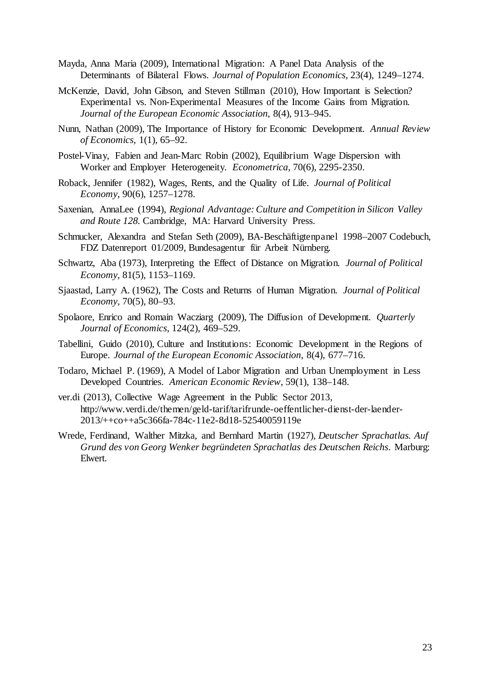- Mayda, Anna Maria (2009), International Migration: A Panel Data Analysis of the Determinants of Bilateral Flows. *Journal of Population Economics*, 23(4), 1249–1274.
- McKenzie, David, John Gibson, and Steven Stillman (2010), How Important is Selection? Experimental vs. Non-Experimental Measures of the Income Gains from Migration. *Journal of the European Economic Association*, 8(4), 913–945.
- Nunn, Nathan (2009), The Importance of History for Economic Development. *Annual Review of Economics*, 1(1), 65–92.
- Postel-Vinay, Fabien and Jean-Marc Robin (2002), Equilibrium Wage Dispersion with Worker and Employer Heterogeneity. *Econometrica*, 70(6), 2295-2350.
- Roback, Jennifer (1982), Wages, Rents, and the Quality of Life. *Journal of Political Economy*, 90(6), 1257–1278.
- Saxenian, AnnaLee (1994), *Regional Advantage: Culture and Competition in Silicon Valley and Route 128.* Cambridge, MA: Harvard University Press.
- Schmucker, Alexandra and Stefan Seth (2009), BA-Beschäftigtenpanel 1998–2007 Codebuch, FDZ Datenreport 01/2009, Bundesagentur für Arbeit Nürnberg.
- Schwartz, Aba (1973), Interpreting the Effect of Distance on Migration. *Journal of Political Economy*, 81(5), 1153–1169.
- Sjaastad, Larry A. (1962), The Costs and Returns of Human Migration. *Journal of Political Economy*, 70(5), 80–93.
- Spolaore, Enrico and Romain Wacziarg (2009), The Diffusion of Development. *Quarterly Journal of Economics*, 124(2), 469–529.
- Tabellini, Guido (2010), Culture and Institutions: Economic Development in the Regions of Europe. *Journal of the European Economic Association*, 8(4), 677–716.
- Todaro, Michael P. (1969), A Model of Labor Migration and Urban Unemployment in Less Developed Countries. *American Economic Review*, 59(1), 138–148.
- ver.di (2013), Collective Wage Agreement in the Public Sector 2013, http://www.verdi.de/themen/geld-tarif/tarifrunde-oeffentlicher-dienst-der-laender-2013/++co++a5c366fa-784c-11e2-8d18-52540059119e
- Wrede, Ferdinand, Walther Mitzka, and Bernhard Martin (1927), *Deutscher Sprachatlas. Auf Grund des von Georg Wenker begründeten Sprachatlas des Deutschen Reichs*. Marburg: Elwert.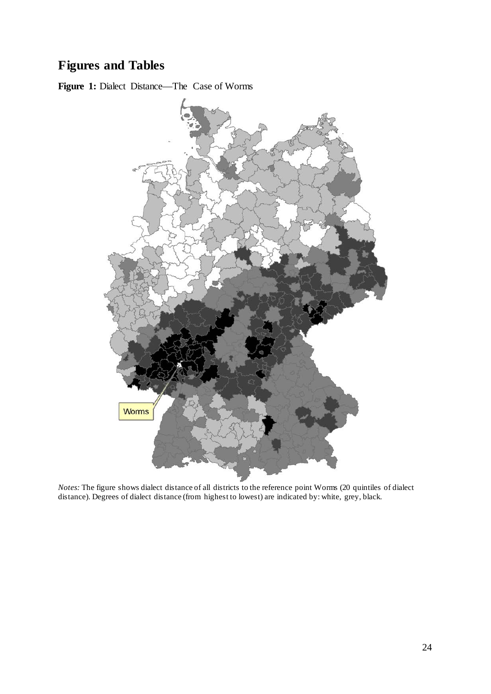# **Figures and Tables**

**Figure 1:** Dialect Distance—The Case of Worms



*Notes:* The figure shows dialect distance of all districts to the reference point Worms (20 quintiles of dialect distance). Degrees of dialect distance (from highest to lowest) are indicated by: white, grey, black.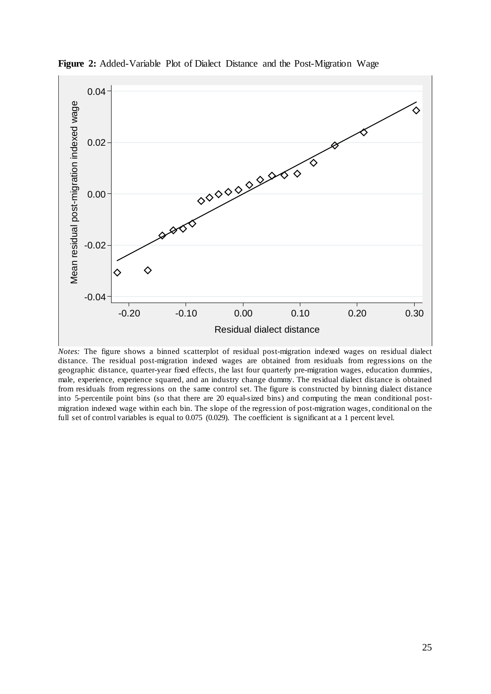

**Figure 2:** Added-Variable Plot of Dialect Distance and the Post-Migration Wage

*Notes:* The figure shows a binned scatterplot of residual post-migration indexed wages on residual dialect distance. The residual post-migration indexed wages are obtained from residuals from regressions on the geographic distance, quarter-year fixed effects, the last four quarterly pre-migration wages, education dummies, male, experience, experience squared, and an industry change dummy. The residual dialect distance is obtained from residuals from regressions on the same control set. The figure is constructed by binning dialect distance into 5-percentile point bins (so that there are 20 equal-sized bins) and computing the mean conditional postmigration indexed wage within each bin. The slope of the regression of post-migration wages, conditional on the full set of control variables is equal to 0.075 (0.029). The coefficient is significant at a 1 percent level.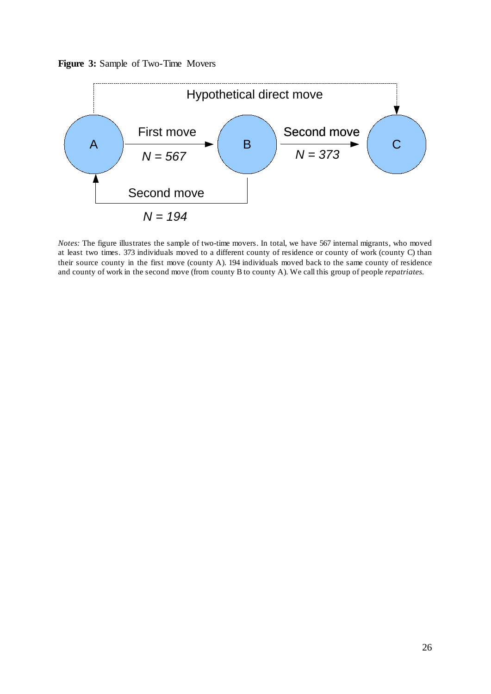



*Notes:* The figure illustrates the sample of two-time movers. In total, we have 567 internal migrants, who moved at least two times. 373 individuals moved to a different county of residence or county of work (county C) than their source county in the first move (county A). 194 individuals moved back to the same county of residence and county of work in the second move (from county B to county A). We call this group of people *repatriates.*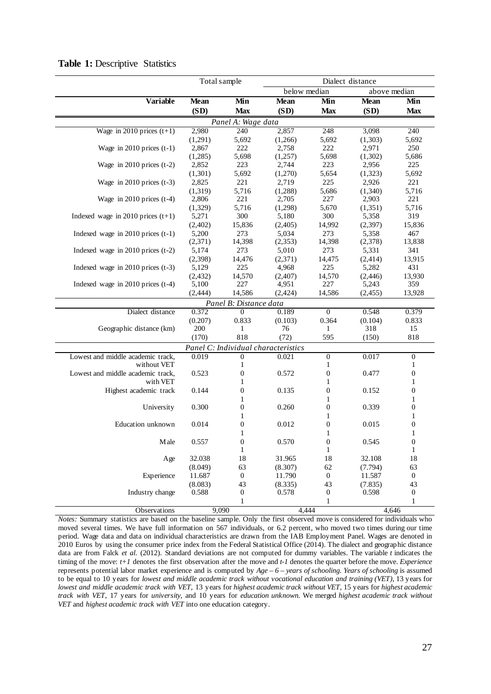|  |  | <b>Table 1: Descriptive Statistics</b> |  |
|--|--|----------------------------------------|--|
|--|--|----------------------------------------|--|

|                                       | Total sample |                        | Dialect distance                    |                  |              |                  |
|---------------------------------------|--------------|------------------------|-------------------------------------|------------------|--------------|------------------|
|                                       |              |                        | below median                        |                  | above median |                  |
| <b>Variable</b>                       | <b>Mean</b>  | Min                    | <b>Mean</b>                         | Min              | <b>Mean</b>  | Min              |
|                                       | (SD)         | <b>Max</b>             | (SD)                                | <b>Max</b>       | (SD)         | <b>Max</b>       |
|                                       |              | Panel A: Wage data     |                                     |                  |              |                  |
| Wage in 2010 prices $(t+1)$           | 2,980        | 240                    | 2,857                               | 248              | 3,098        | 240              |
|                                       | (1,291)      | 5,692                  | (1,266)                             | 5,692            | (1,303)      | 5,692            |
| Wage in $2010$ prices $(t-1)$         | 2,867        | 222                    | 2,758                               | 222              | 2,971        | 250              |
|                                       | (1,285)      | 5,698                  | (1,257)                             | 5,698            | (1,302)      | 5,686            |
| Wage in $2010$ prices $(t-2)$         | 2,852        | 223                    | 2,744                               | 223              | 2,956        | 225              |
|                                       | (1,301)      | 5,692                  | (1,270)                             | 5,654            | (1,323)      | 5,692            |
| Wage in $2010$ prices $(t-3)$         | 2,825        | 221                    | 2,719                               | 225              | 2,926        | 221              |
|                                       | (1,319)      | 5,716                  | (1,288)                             | 5,686            | (1,340)      | 5,716            |
| Wage in 2010 prices $(t-4)$           | 2,806        | 221                    | 2,705                               | 227              | 2,903        | 221              |
|                                       | (1,329)      | 5,716                  | (1,298)                             | 5,670            | (1,351)      | 5,716            |
| Indexed wage in 2010 prices $(t+1)$   | 5,271        | 300                    | 5,180                               | 300              | 5,358        | 319              |
|                                       | (2,402)      | 15,836                 | (2,405)                             | 14,992           | (2, 397)     | 15,836           |
| Indexed wage in $2010$ prices $(t-1)$ | 5,200        | 273                    | 5,034                               | 273              | 5,358        | 467              |
|                                       | (2,371)      | 14,398                 | (2,353)                             | 14,398           | (2,378)      | 13,838           |
| Indexed wage in $2010$ prices (t-2)   | 5,174        | 273                    | 5,010                               | 273              | 5,331        | 341              |
|                                       | (2,398)      | 14,476                 | (2,371)                             | 14,475           | (2, 414)     | 13,915           |
| Indexed wage in $2010$ prices $(t-3)$ | 5,129        | 225                    | 4,968                               | 225              | 5,282        | 431              |
|                                       | (2, 432)     | 14,570                 | (2,407)                             | 14,570           | (2, 446)     | 13,930           |
| Indexed wage in $2010$ prices (t-4)   | 5,100        | 227                    | 4,951                               | 227              | 5,243        | 359              |
|                                       | (2, 444)     | 14,586                 | (2, 424)                            | 14,586           | (2, 455)     | 13,928           |
|                                       |              | Panel B: Distance data |                                     |                  |              |                  |
| Dialect distance                      | 0.372        | $\mathbf{0}$           | 0.189                               | $\overline{0}$   | 0.548        | 0.379            |
|                                       | (0.207)      | 0.833                  | (0.103)                             | 0.364            | (0.104)      | 0.833            |
| Geographic distance (km)              | 200          | 1                      | 76                                  |                  | 318          | 15               |
|                                       | (170)        | 818                    | (72)                                | 595              | (150)        | 818              |
|                                       |              |                        | Panel C: Individual characteristics |                  |              |                  |
| Lowest and middle academic track,     | 0.019        | $\mathbf{0}$           | 0.021                               | $\overline{0}$   | 0.017        | $\boldsymbol{0}$ |
| without VET                           |              | 1                      |                                     | 1                |              | 1                |
| Lowest and middle academic track,     | 0.523        | $\boldsymbol{0}$       | 0.572                               | $\boldsymbol{0}$ | 0.477        | $\mathbf{0}$     |
| with VET                              |              | 1                      |                                     | $\mathbf{1}$     |              | 1                |
| Highest academic track                | 0.144        | $\boldsymbol{0}$       | 0.135                               | $\boldsymbol{0}$ | 0.152        | $\boldsymbol{0}$ |
|                                       |              | 1                      |                                     | 1                |              | 1                |
| University                            | 0.300        | $\mathbf{0}$           | 0.260                               | $\boldsymbol{0}$ | 0.339        | $\mathbf{0}$     |
|                                       |              | 1                      |                                     | $\mathbf{1}$     |              | 1                |
| Education unknown                     | 0.014        | $\boldsymbol{0}$       | 0.012                               | $\boldsymbol{0}$ | 0.015        | 0                |
|                                       |              | 1                      |                                     | $\mathbf{1}$     |              | 1                |
| Male                                  | 0.557        | $\mathbf{0}$           | 0.570                               | $\mathbf{0}$     | 0.545        | $\overline{0}$   |
|                                       |              | $\mathbf{1}$           |                                     | $\,1$            |              | $\mathbf{1}$     |
| Age                                   | 32.038       | 18                     | 31.965                              | 18               | 32.108       | 18               |
|                                       | (8.049)      | 63                     | (8.307)                             | 62               | (7.794)      | 63               |
| Experience                            | 11.687       | $\boldsymbol{0}$       | 11.790                              | $\boldsymbol{0}$ | 11.587       | $\boldsymbol{0}$ |
|                                       | (8.083)      | 43                     | (8.335)                             | 43               | (7.835)      | 43               |
| Industry change                       | 0.588        | $\mathbf{0}$           | 0.578                               | $\boldsymbol{0}$ | 0.598        | $\boldsymbol{0}$ |
|                                       |              | 1                      |                                     | $\mathbf{1}$     |              | $\mathbf{1}$     |
| Observations                          |              | 9,090                  | 4,444                               |                  | 4,646        |                  |

*Notes:* Summary statistics are based on the baseline sample. Only the first observed move is considered for individuals who moved several times. We have full information on 567 individuals, or 6.2 percent, who moved two times during our time period. Wage data and data on individual characteristics are drawn from the IAB Employment Panel. Wages are denoted in 2010 Euros by using the consumer price index from the Federal Statistical Office (2014). The dialect and geographic distance data are from Falck *et al*. (2012). Standard deviations are not computed for dummy variables. The variable *t* indicates the timing of the move: *t+1* denotes the first observation after the move and *t-1* denotes the quarter before the move. *Experience* represents potential labor market experience and is computed by *Age – 6 – years of schooling. Years of schooling* is assumed to be equal to 10 years for *lowest and middle academic track without vocational education and training (VET)*, 13 years for *lowest and middle academic track with VET*, 13 years for *highest academic track without VET*, 15 years for *highest academic track with VET*, 17 years for *university*, and 10 years for *education unknown.* We merged *highest academic track without VET* and *highest academic track with VET* into one education category.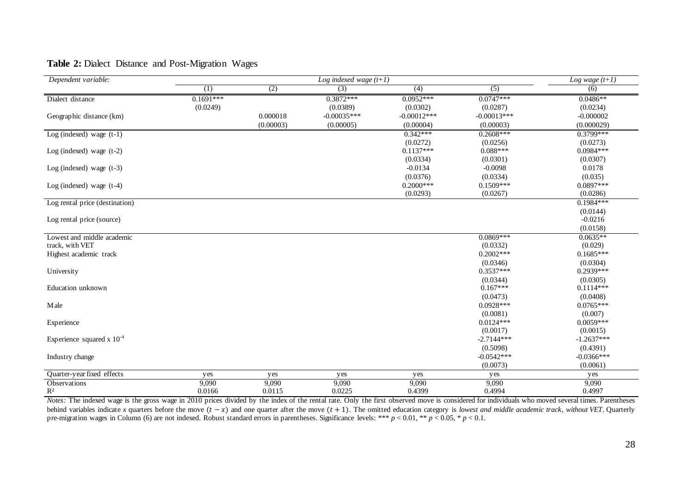| Dependent variable:<br>Log indexed wage $(t+1)$ |             |           | Log wage $(t+1)$ |               |               |              |
|-------------------------------------------------|-------------|-----------|------------------|---------------|---------------|--------------|
|                                                 | (1)         | (2)       | (3)              | (4)           | (5)           | (6)          |
| Dialect distance                                | $0.1691***$ |           | 0.3872***        | $0.0952***$   | $0.0747***$   | $0.0486**$   |
|                                                 | (0.0249)    |           | (0.0389)         | (0.0302)      | (0.0287)      | (0.0234)     |
| Geographic distance (km)                        |             | 0.000018  | $-0.00035***$    | $-0.00012***$ | $-0.00013***$ | $-0.000002$  |
|                                                 |             | (0.00003) | (0.00005)        | (0.00004)     | (0.00003)     | (0.000029)   |
| Log (indexed) wage $(t-1)$                      |             |           |                  | $0.342***$    | $0.2608***$   | 0.3799***    |
|                                                 |             |           |                  | (0.0272)      | (0.0256)      | (0.0273)     |
| Log (indexed) wage $(t-2)$                      |             |           |                  | $0.1137***$   | $0.088***$    | 0.0984***    |
|                                                 |             |           |                  | (0.0334)      | (0.0301)      | (0.0307)     |
| Log (indexed) wage $(t-3)$                      |             |           |                  | $-0.0134$     | $-0.0098$     | 0.0178       |
|                                                 |             |           |                  | (0.0376)      | (0.0334)      | (0.035)      |
| Log (indexed) wage $(t-4)$                      |             |           |                  | $0.2000***$   | $0.1509***$   | 0.0897***    |
|                                                 |             |           |                  | (0.0293)      | (0.0267)      | (0.0286)     |
| Log rental price (destination)                  |             |           |                  |               |               | 0.1984***    |
|                                                 |             |           |                  |               |               | (0.0144)     |
| Log rental price (source)                       |             |           |                  |               |               | $-0.0216$    |
|                                                 |             |           |                  |               |               | (0.0158)     |
| Lowest and middle academic                      |             |           |                  |               | 0.0869***     | $0.0635**$   |
| track, with VET                                 |             |           |                  |               | (0.0332)      | (0.029)      |
| Highest academic track                          |             |           |                  |               | $0.2002***$   | $0.1685***$  |
|                                                 |             |           |                  |               | (0.0346)      | (0.0304)     |
| University                                      |             |           |                  |               | $0.3537***$   | 0.2939***    |
|                                                 |             |           |                  |               | (0.0344)      | (0.0305)     |
| Education unknown                               |             |           |                  |               | $0.167***$    | $0.1114***$  |
|                                                 |             |           |                  |               | (0.0473)      | (0.0408)     |
| <b>M</b> ale                                    |             |           |                  |               | $0.0928***$   | $0.0765***$  |
|                                                 |             |           |                  |               | (0.0081)      | (0.007)      |
| Experience                                      |             |           |                  |               | $0.0124***$   | $0.0059***$  |
|                                                 |             |           |                  |               | (0.0017)      | (0.0015)     |
| Experience squared x $10^{-4}$                  |             |           |                  |               | $-2.7144***$  | $-1.2637***$ |
|                                                 |             |           |                  |               | (0.5098)      | (0.4391)     |
| Industry change                                 |             |           |                  |               | $-0.0542***$  | $-0.0366***$ |
|                                                 |             |           |                  |               | (0.0073)      | (0.0061)     |
| Quarter-year fixed effects                      | yes         | yes       | yes              | yes           | yes           | yes          |
| Observations                                    | 9,090       | 9,090     | 9,090            | 9,090         | 9,090         | 9,090        |
| $R^2$                                           | 0.0166      | 0.0115    | 0.0225           | 0.4399        | 0.4994        | 0.4997       |

#### Table 2: Dialect Distance and Post-Migration Wages

*Notes:* The indexed wage is the gross wage in 2010 prices divided by the index of the rental rate. Only the first observed move is considered for individuals who moved several times. Parentheses behind variables indicate x quarters before the move  $(t - x)$  and one quarter after the move  $(t + 1)$ . The omitted education category is lowest and middle academic track, without VET. Quarterly pre-migration wages in Column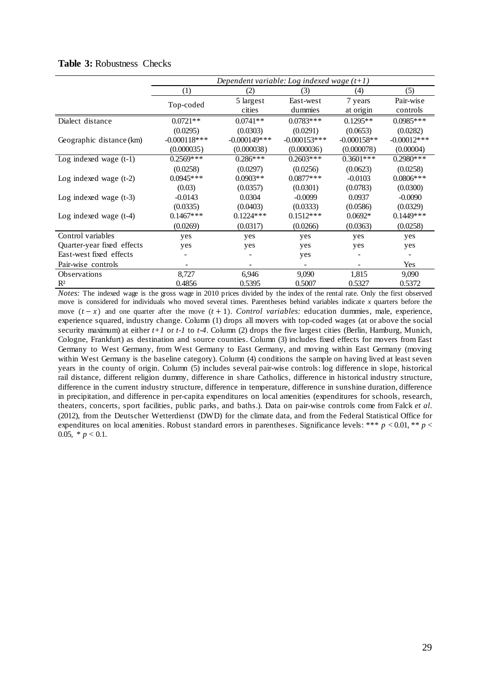|                            | Dependent variable: Log indexed wage $(t+1)$ |                |                 |               |               |  |  |
|----------------------------|----------------------------------------------|----------------|-----------------|---------------|---------------|--|--|
|                            | (1)                                          | (2)            | (3)             | (4)           | (5)           |  |  |
|                            | Top-coded                                    | 5 largest      | East-west       | 7 years       | Pair-wise     |  |  |
|                            |                                              | cities         | dummies         | at origin     | controls      |  |  |
| Dialect distance           | $0.0721**$                                   | $0.0741**$     | $0.0783***$     | $0.1295**$    | $0.0985***$   |  |  |
|                            | (0.0295)                                     | (0.0303)       | (0.0291)        | (0.0653)      | (0.0282)      |  |  |
| Geographic distance (km)   | $-0.000118***$                               | $-0.000149***$ | $-0.000153$ *** | $-0.000158**$ | $-0.00012***$ |  |  |
|                            | (0.000035)                                   | (0.000038)     | (0.000036)      | (0.000078)    | (0.00004)     |  |  |
| Log indexed wage $(t-1)$   | $0.2569***$                                  | $0.286***$     | $0.2603***$     | $0.3601***$   | $0.2980$ ***  |  |  |
|                            | (0.0258)                                     | (0.0297)       | (0.0256)        | (0.0623)      | (0.0258)      |  |  |
| Log indexed wage $(t-2)$   | $0.0945***$                                  | $0.0903**$     | $0.0877***$     | $-0.0103$     | $0.0806$ ***  |  |  |
|                            | (0.03)                                       | (0.0357)       | (0.0301)        | (0.0783)      | (0.0300)      |  |  |
| Log indexed wage $(t-3)$   | $-0.0143$                                    | 0.0304         | $-0.0099$       | 0.0937        | $-0.0090$     |  |  |
|                            | (0.0335)                                     | (0.0403)       | (0.0333)        | (0.0586)      | (0.0329)      |  |  |
| Log indexed wage $(t-4)$   | $0.1467***$                                  | $0.1224***$    | $0.1512***$     | $0.0692*$     | $0.1449***$   |  |  |
|                            | (0.0269)                                     | (0.0317)       | (0.0266)        | (0.0363)      | (0.0258)      |  |  |
| Control variables          | yes                                          | yes            | yes             | yes           | yes           |  |  |
| Quarter-year fixed effects | yes                                          | yes            | yes             | yes           | yes           |  |  |
| East-west fixed effects    |                                              |                | yes             |               |               |  |  |
| Pair-wise controls         |                                              |                |                 |               | <b>Yes</b>    |  |  |
| <b>Observations</b>        | 8,727                                        | 6,946          | 9,090           | 1,815         | 9,090         |  |  |
| $R^2$                      | 0.4856                                       | 0.5395         | 0.5007          | 0.5327        | 0.5372        |  |  |

#### **Table 3:** Robustness Checks

*Notes:* The indexed wage is the gross wage in 2010 prices divided by the index of the rental rate. Only the first observed move is considered for individuals who moved several times. Parentheses behind variables indicate *x* quarters before the move  $(t - x)$  and one quarter after the move  $(t + 1)$ . *Control variables:* education dummies, male, experience, experience squared, industry change. Column (1) drops all movers with top-coded wages (at or above the social security maximum) at either  $t+1$  or  $t-1$  to  $t-4$ . Column (2) drops the five largest cities (Berlin, Hamburg, Munich, Cologne, Frankfurt) as destination and source counties. Column (3) includes fixed effects for movers from East Germany to West Germany, from West Germany to East Germany, and moving within East Germany (moving within West Germany is the baseline category). Column (4) conditions the sample on having lived at least seven years in the county of origin. Column (5) includes several pair-wise controls: log difference in slope, historical rail distance, different religion dummy, difference in share Catholics, difference in historical industry structure, difference in the current industry structure, difference in temperature, difference in sunshine duration, difference in precipitation, and difference in per-capita expenditures on local amenities (expenditures for schools, research, theaters, concerts, sport facilities, public parks, and baths.). Data on pair-wise controls come from Falck *et al.* (2012), from the Deutscher Wetterdienst (DWD) for the climate data, and from the Federal Statistical Office for expenditures on local amenities. Robust standard errors in parentheses. Significance levels: \*\*\*  $p < 0.01$ , \*\*  $p <$ 0.05,  $* p < 0.1$ .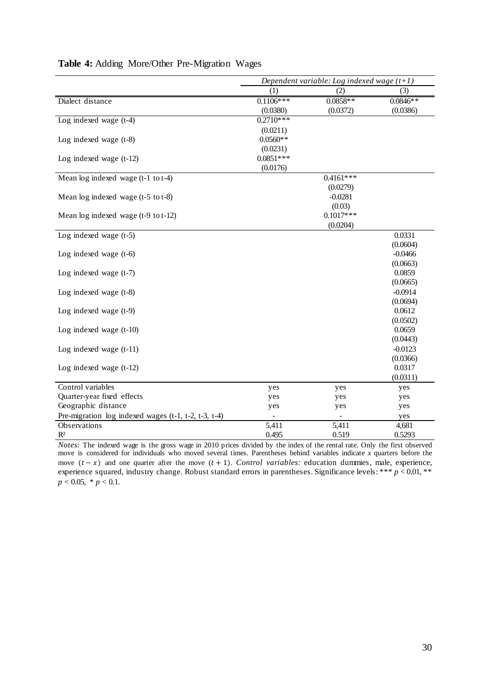|                                                        | Dependent variable: Log indexed wage $(t+1)$ |             |            |  |  |
|--------------------------------------------------------|----------------------------------------------|-------------|------------|--|--|
|                                                        | (1)                                          | (2)         | (3)        |  |  |
| Dialect distance                                       | $0.1106***$                                  | $0.0858**$  | $0.0846**$ |  |  |
|                                                        | (0.0380)                                     | (0.0372)    | (0.0386)   |  |  |
| Log indexed wage $(t-4)$                               | $0.2710***$                                  |             |            |  |  |
|                                                        | (0.0211)                                     |             |            |  |  |
| Log indexed wage $(t-8)$                               | $0.0560**$                                   |             |            |  |  |
|                                                        | (0.0231)                                     |             |            |  |  |
| Log indexed wage $(t-12)$                              | $0.0851***$                                  |             |            |  |  |
|                                                        | (0.0176)                                     |             |            |  |  |
| Mean log indexed wage (t-1 to t-4)                     |                                              | $0.4161***$ |            |  |  |
|                                                        |                                              | (0.0279)    |            |  |  |
| Mean log indexed wage (t-5 to t-8)                     |                                              | $-0.0281$   |            |  |  |
|                                                        |                                              | (0.03)      |            |  |  |
| Mean $log$ indexed wage ( $t-9$ to $t-12$ )            |                                              | $0.1017***$ |            |  |  |
|                                                        |                                              | (0.0204)    |            |  |  |
| Log indexed wage $(t-5)$                               |                                              |             | 0.0331     |  |  |
|                                                        |                                              |             | (0.0604)   |  |  |
| Log indexed wage $(t-6)$                               |                                              |             | $-0.0466$  |  |  |
|                                                        |                                              |             | (0.0663)   |  |  |
| Log indexed wage (t-7)                                 |                                              |             | 0.0859     |  |  |
|                                                        |                                              |             | (0.0665)   |  |  |
| Log indexed wage $(t-8)$                               |                                              |             | $-0.0914$  |  |  |
|                                                        |                                              |             | (0.0694)   |  |  |
| Log indexed wage $(t-9)$                               |                                              |             | 0.0612     |  |  |
|                                                        |                                              |             | (0.0502)   |  |  |
| Log indexed wage $(t-10)$                              |                                              |             | 0.0659     |  |  |
|                                                        |                                              |             | (0.0443)   |  |  |
| Log indexed wage $(t-11)$                              |                                              |             | $-0.0123$  |  |  |
|                                                        |                                              |             | (0.0366)   |  |  |
| Log indexed wage $(t-12)$                              |                                              |             | 0.0317     |  |  |
|                                                        |                                              |             | (0.0311)   |  |  |
| Control variables                                      | yes                                          | yes         | yes        |  |  |
| Quarter-year fixed effects                             | yes                                          | yes         | yes        |  |  |
| Geographic distance                                    | yes                                          | yes         | yes        |  |  |
| Pre-migration log indexed wages $(t-1, t-2, t-3, t-4)$ |                                              |             | yes        |  |  |
| Observations                                           | 5,411                                        | 5,411       | 4,681      |  |  |
| $R^2$                                                  | 0.495                                        | 0.519       | 0.5293     |  |  |

#### **Table 4:** Adding More/Other Pre-Migration Wages

*Notes:* The indexed wage is the gross wage in 2010 prices divided by the index of the rental rate. Only the first observed move is considered for individuals who moved several times. Parentheses behind variables indicate *x* quarters before the move  $(t - x)$  and one quarter after the move  $(t + 1)$ . *Control variables:* education dummies, male, experience, experience squared, industry change. Robust standard errors in parentheses. Significance levels: \*\*\*  $p < 0.01$ , \*\*  $p < 0.05$ ,  $\frac{*}{p} < 0.1$ .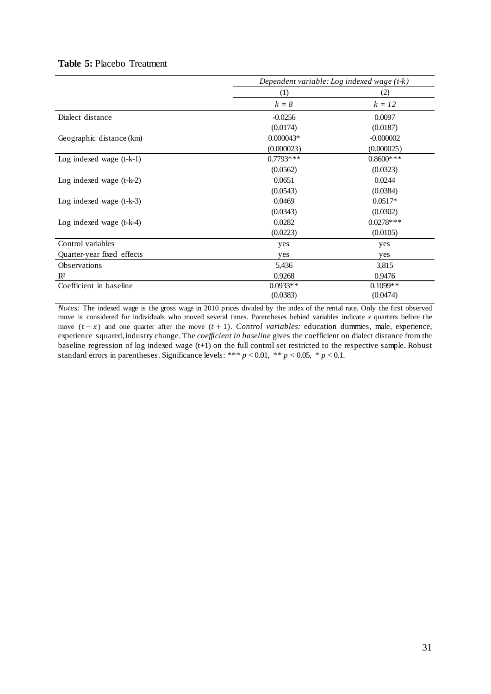#### **Table 5:** Placebo Treatment

|                            | Dependent variable: Log indexed wage $(t-k)$ |              |  |
|----------------------------|----------------------------------------------|--------------|--|
|                            | (1)                                          | (2)          |  |
|                            | $k=8$                                        | $k = 12$     |  |
| Dialect distance           | $-0.0256$                                    | 0.0097       |  |
|                            | (0.0174)                                     | (0.0187)     |  |
| Geographic distance (km)   | $0.000043*$                                  | $-0.000002$  |  |
|                            | (0.000023)                                   | (0.000025)   |  |
| Log indexed wage $(t-k-1)$ | $0.7793***$                                  | $0.8600$ *** |  |
|                            | (0.0562)                                     | (0.0323)     |  |
| Log indexed wage $(t-k-2)$ | 0.0651                                       | 0.0244       |  |
|                            | (0.0543)                                     | (0.0384)     |  |
| Log indexed wage $(t-k-3)$ | 0.0469                                       | $0.0517*$    |  |
|                            | (0.0343)                                     | (0.0302)     |  |
| Log indexed wage $(t-k-4)$ | 0.0282                                       | $0.0278***$  |  |
|                            | (0.0223)                                     | (0.0105)     |  |
| Control variables          | yes                                          | yes          |  |
| Quarter-year fixed effects | yes                                          | yes          |  |
| <b>Observations</b>        | 5,436                                        | 3,815        |  |
| $R^2$                      | 0.9268                                       | 0.9476       |  |
| Coefficient in baseline    | $0.0933**$                                   | $0.1099**$   |  |
|                            | (0.0383)                                     | (0.0474)     |  |

*Notes:* The indexed wage is the gross wage in 2010 prices divided by the index of the rental rate. Only the first observed move is considered for individuals who moved several times. Parentheses behind variables indicate *x* quarters before the move  $(t - x)$  and one quarter after the move  $(t + 1)$ . *Control variables:* education dummies, male, experience, experience squared, industry change. The *coefficient in baseline* gives the coefficient on dialect distance from the baseline regression of log indexed wage (t+1) on the full control set restricted to the respective sample. Robust standard errors in parentheses. Significance levels: \*\*\*  $p < 0.01$ , \*\*  $p < 0.05$ , \*  $p < 0.1$ .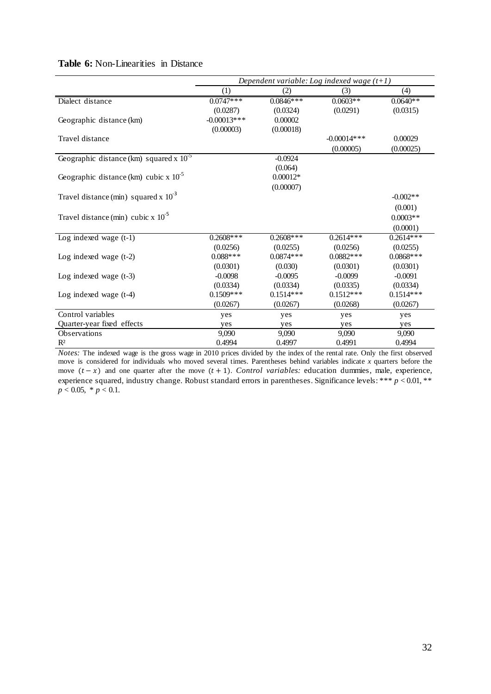#### **Table 6:** Non-Linearities in Distance

|                                              | Dependent variable: Log indexed wage $(t+1)$ |              |               |             |  |  |
|----------------------------------------------|----------------------------------------------|--------------|---------------|-------------|--|--|
|                                              | (1)                                          | (2)          | (3)           | (4)         |  |  |
| Dialect distance                             | $0.0747***$                                  | $0.0846***$  | $0.0603**$    | $0.0640**$  |  |  |
|                                              | (0.0287)                                     | (0.0324)     | (0.0291)      | (0.0315)    |  |  |
| Geographic distance (km)                     | $-0.00013***$                                | 0.00002      |               |             |  |  |
|                                              | (0.00003)                                    | (0.00018)    |               |             |  |  |
| Travel distance                              |                                              |              | $-0.00014***$ | 0.00029     |  |  |
|                                              |                                              |              | (0.00005)     | (0.00025)   |  |  |
| Geographic distance (km) squared x $10^{-5}$ |                                              | $-0.0924$    |               |             |  |  |
|                                              |                                              | (0.064)      |               |             |  |  |
| Geographic distance (km) cubic x $10^{-5}$   |                                              | $0.00012*$   |               |             |  |  |
|                                              |                                              | (0.00007)    |               |             |  |  |
| Travel distance (min) squared x $10^{-3}$    |                                              |              |               | $-0.002**$  |  |  |
|                                              |                                              |              |               | (0.001)     |  |  |
| Travel distance (min) cubic $x 10^{-5}$      |                                              |              |               | $0.0003**$  |  |  |
|                                              |                                              |              |               | (0.0001)    |  |  |
| Log indexed wage $(t-1)$                     | $0.2608$ ***                                 | $0.2608$ *** | $0.2614***$   | $0.2614***$ |  |  |
|                                              | (0.0256)                                     | (0.0255)     | (0.0256)      | (0.0255)    |  |  |
| Log indexed wage $(t-2)$                     | $0.088***$                                   | $0.0874***$  | $0.0882***$   | $0.0868***$ |  |  |
|                                              | (0.0301)                                     | (0.030)      | (0.0301)      | (0.0301)    |  |  |
| Log indexed wage $(t-3)$                     | $-0.0098$                                    | $-0.0095$    | $-0.0099$     | $-0.0091$   |  |  |
|                                              | (0.0334)                                     | (0.0334)     | (0.0335)      | (0.0334)    |  |  |
| Log indexed wage $(t-4)$                     | $0.1509$ ***                                 | $0.1514***$  | $0.1512***$   | $0.1514***$ |  |  |
|                                              | (0.0267)                                     | (0.0267)     | (0.0268)      | (0.0267)    |  |  |
| Control variables                            | yes                                          | yes          | yes           | yes         |  |  |
| Quarter-year fixed effects                   | yes                                          | yes          | yes           | yes         |  |  |
| Observations                                 | 9.090                                        | 9,090        | 9,090         | 9,090       |  |  |
| $R^2$                                        | 0.4994                                       | 0.4997       | 0.4991        | 0.4994      |  |  |

*Notes:* The indexed wage is the gross wage in 2010 prices divided by the index of the rental rate. Only the first observed move is considered for individuals who moved several times. Parentheses behind variables indicate *x* quarters before the move  $(t - x)$  and one quarter after the move  $(t + 1)$ . *Control variables:* education dummies, male, experience, experience squared, industry change. Robust standard errors in parentheses. Significance levels: \*\*\* *p* < 0.01, \*\*  $p < 0.05, * p < 0.1.$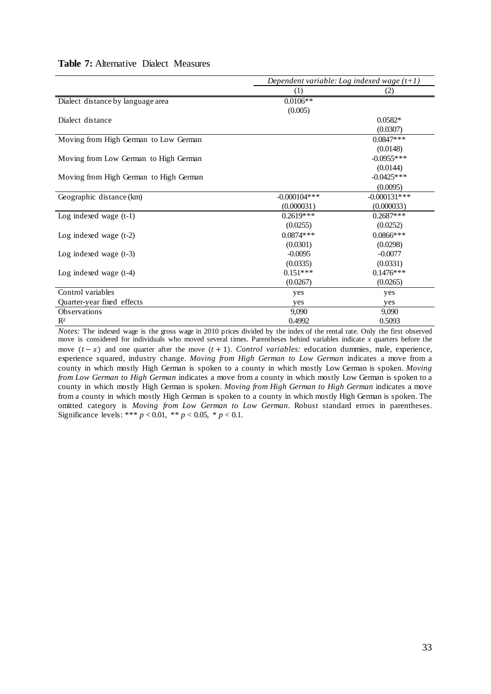#### **Table 7:** Alternative Dialect Measures

|                                        | Dependent variable: Log indexed wage $(t+1)$ |                |  |
|----------------------------------------|----------------------------------------------|----------------|--|
|                                        | (1)                                          | (2)            |  |
| Dialect distance by language area      | $0.0106**$                                   |                |  |
|                                        | (0.005)                                      |                |  |
| Dialect distance                       |                                              | $0.0582*$      |  |
|                                        |                                              | (0.0307)       |  |
| Moving from High German to Low German  |                                              | $0.0847***$    |  |
|                                        |                                              | (0.0148)       |  |
| Moving from Low German to High German  |                                              | $-0.0955***$   |  |
|                                        |                                              | (0.0144)       |  |
| Moving from High German to High German |                                              | $-0.0425***$   |  |
|                                        |                                              | (0.0095)       |  |
| Geographic distance (km)               | $-0.000104$ ***                              | $-0.000131***$ |  |
|                                        | (0.000031)                                   | (0.000033)     |  |
| Log indexed wage $(t-1)$               | $0.2619***$                                  | $0.2687***$    |  |
|                                        | (0.0255)                                     | (0.0252)       |  |
| Log indexed wage $(t-2)$               | $0.0874***$                                  | $0.0866$ ***   |  |
|                                        | (0.0301)                                     | (0.0298)       |  |
| Log indexed wage $(t-3)$               | $-0.0095$                                    | $-0.0077$      |  |
|                                        | (0.0335)                                     | (0.0331)       |  |
| Log indexed wage $(t-4)$               | $0.151***$                                   | $0.1476***$    |  |
|                                        | (0.0267)                                     | (0.0265)       |  |
| Control variables                      | yes                                          | yes            |  |
| Quarter-year fixed effects             | yes                                          | yes            |  |
| <b>Observations</b>                    | 9,090                                        | 9,090          |  |
| $R^2$                                  | 0.4992                                       | 0.5093         |  |

*Notes:* The indexed wage is the gross wage in 2010 prices divided by the index of the rental rate. Only the first observed move is considered for individuals who moved several times. Parentheses behind variables indicate *x* quarters before the move  $(t - x)$  and one quarter after the move  $(t + 1)$ . *Control variables:* education dummies, male, experience, experience squared, industry change. *Moving from High German to Low German* indicates a move from a county in which mostly High German is spoken to a county in which mostly Low German is spoken. *Moving from Low German to High German* indicates a move from a county in which mostly Low German is spoken to a county in which mostly High German is spoken. *Moving from High German to High German* indicates a move from a county in which mostly High German is spoken to a county in which mostly High German is spoken. The omitted category is *Moving from Low German to Low German*. Robust standard errors in parentheses. Significance levels: \*\*\*  $p < 0.01$ , \*\*  $p < 0.05$ , \*  $p < 0.1$ .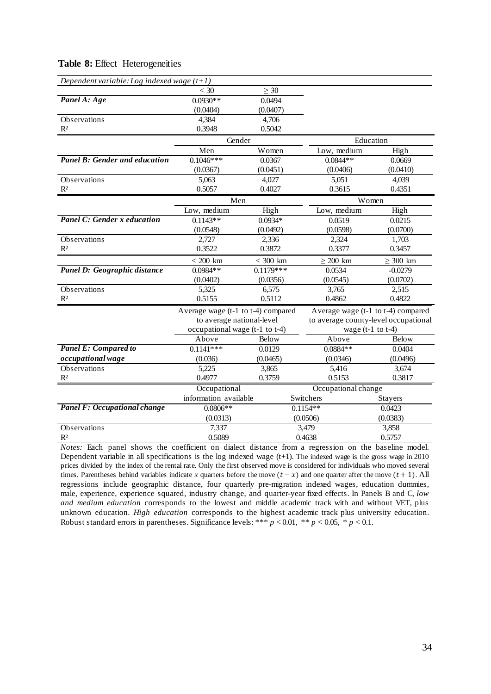#### **Table 8:** Effect Heterogeneities

|                                      | Dependent variable: Log indexed wage $(t+1)$ |             |                                      |               |  |  |  |  |
|--------------------------------------|----------------------------------------------|-------------|--------------------------------------|---------------|--|--|--|--|
|                                      | $<$ 30                                       | $\geq 30$   |                                      |               |  |  |  |  |
| Panel A: Age                         | $0.0930**$                                   | 0.0494      |                                      |               |  |  |  |  |
|                                      | (0.0404)                                     | (0.0407)    |                                      |               |  |  |  |  |
| Observations                         | 4,384                                        | 4,706       |                                      |               |  |  |  |  |
| $R^2$                                | 0.3948                                       | 0.5042      |                                      |               |  |  |  |  |
|                                      | Gender                                       |             |                                      | Education     |  |  |  |  |
|                                      | Men                                          | Women       | Low, medium                          | High          |  |  |  |  |
| <b>Panel B: Gender and education</b> | $0.1046***$                                  | 0.0367      | $0.0844**$                           | 0.0669        |  |  |  |  |
|                                      | (0.0367)                                     | (0.0451)    | (0.0406)                             | (0.0410)      |  |  |  |  |
| Observations                         | 5,063                                        | 4,027       | 5,051                                | 4,039         |  |  |  |  |
| $R^2$                                | 0.5057                                       | 0.4027      | 0.3615                               | 0.4351        |  |  |  |  |
|                                      | Men                                          |             | Women                                |               |  |  |  |  |
|                                      | Low, medium                                  | High        | Low, medium                          | High          |  |  |  |  |
| <b>Panel C: Gender x education</b>   | $0.1143**$                                   | $0.0934*$   | 0.0519                               | 0.0215        |  |  |  |  |
|                                      | (0.0548)                                     | (0.0492)    | (0.0598)                             | (0.0700)      |  |  |  |  |
| Observations                         | 2,727                                        | 2,336       | 2,324                                | 1,703         |  |  |  |  |
| R <sup>2</sup>                       | 0.3522                                       | 0.3872      | 0.3377                               | 0.3457        |  |  |  |  |
|                                      | $< 200$ km                                   | $<$ 300 km  | $\geq 200$ km                        | $\geq 300$ km |  |  |  |  |
| Panel D: Geographic distance         | $0.0984**$                                   | $0.1179***$ | 0.0534                               | $-0.0279$     |  |  |  |  |
|                                      | (0.0402)                                     | (0.0356)    | (0.0545)                             | (0.0702)      |  |  |  |  |
| Observations                         | 5,325                                        | 6,575       | 3,765                                | 2,515         |  |  |  |  |
| $R^2$                                | 0.5155                                       | 0.5112      | 0.4862                               | 0.4822        |  |  |  |  |
|                                      | Average wage (t-1 to t-4) compared           |             | Average wage (t-1 to t-4) compared   |               |  |  |  |  |
|                                      | to average national-level                    |             | to average county-level occupational |               |  |  |  |  |
|                                      | occupational wage (t-1 to t-4)               |             | wage $(t-1)$ to $t-4$ )              |               |  |  |  |  |
|                                      | Above                                        | Below       | Above                                | Below         |  |  |  |  |
| <b>Panel E: Compared to</b>          | $0.1141***$                                  | 0.0129      | $0.0884**$                           | 0.0404        |  |  |  |  |
| occupational wage                    | (0.036)                                      | (0.0465)    | (0.0346)                             | (0.0496)      |  |  |  |  |
| Observations                         | 5,225                                        | 3,865       | 5,416                                | 3,674         |  |  |  |  |
| $R^2$                                | 0.4977                                       | 0.3759      | 0.5153                               | 0.3817        |  |  |  |  |
|                                      | Occupational                                 |             | Occupational change                  |               |  |  |  |  |
|                                      | information available                        |             | Switchers                            | Stayers       |  |  |  |  |
| Panel F: Occupational change         | $0.0806**$                                   |             | $0.1154**$                           | 0.0423        |  |  |  |  |
|                                      | (0.0313)                                     |             | (0.0506)                             | (0.0383)      |  |  |  |  |
| Observations                         | 7,337                                        |             | 3,479                                | 3,858         |  |  |  |  |
| $R^2$                                | 0.5089                                       |             | 0.4638                               | 0.5757        |  |  |  |  |

*Notes:* Each panel shows the coefficient on dialect distance from a regression on the baseline model. Dependent variable in all specifications is the log indexed wage  $(t+1)$ . The indexed wage is the gross wage in 2010 prices divided by the index of the rental rate. Only the first observed move is considered for individuals who moved several times. Parentheses behind variables indicate *x* quarters before the move  $(t - x)$  and one quarter after the move  $(t + 1)$ . All regressions include geographic distance, four quarterly pre-migration indexed wages, education dummies, male, experience, experience squared, industry change, and quarter-year fixed effects. In Panels B and C, *low and medium education* corresponds to the lowest and middle academic track with and without VET, plus unknown education. *High education* corresponds to the highest academic track plus university education. Robust standard errors in parentheses. Significance levels: \*\*\*  $p < 0.01$ , \*\*  $p < 0.05$ , \*  $p < 0.1$ .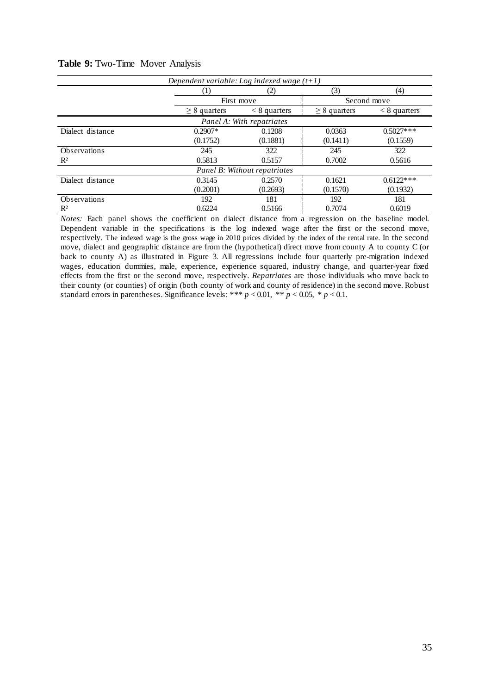| Dependent variable: Log indexed wage $(t+1)$ |                   |                              |                   |                   |  |  |  |  |
|----------------------------------------------|-------------------|------------------------------|-------------------|-------------------|--|--|--|--|
|                                              | (1)               | (2)                          | (3)               | $\left( 4\right)$ |  |  |  |  |
|                                              |                   | First move                   | Second move       |                   |  |  |  |  |
|                                              | $\geq 8$ quarters | $< 8$ quarters               | $\geq$ 8 quarters | $< 8$ quarters    |  |  |  |  |
|                                              |                   | Panel A: With repatriates    |                   |                   |  |  |  |  |
| Dialect distance                             | $0.2907*$         | 0.1208                       | 0.0363            | $0.5027***$       |  |  |  |  |
|                                              | (0.1752)          | (0.1881)                     | (0.1411)          | (0.1559)          |  |  |  |  |
| <b>Observations</b>                          | 245               | 322                          | 245               | 322               |  |  |  |  |
| $R^2$                                        | 0.5813            | 0.5157                       | 0.7002            | 0.5616            |  |  |  |  |
|                                              |                   | Panel B: Without repatriates |                   |                   |  |  |  |  |
| Dialect distance                             | 0.3145            | 0.2570                       | 0.1621            | $0.6122***$       |  |  |  |  |
|                                              | (0.2001)          | (0.2693)                     | (0.1570)          | (0.1932)          |  |  |  |  |
| <b>Observations</b>                          | 192               | 181                          | 192               | 181               |  |  |  |  |
| $R^2$                                        | 0.6224            | 0.5166                       | 0.7074            | 0.6019            |  |  |  |  |

#### **Table 9:** Two-Time Mover Analysis

*Notes:* Each panel shows the coefficient on dialect distance from a regression on the baseline model. Dependent variable in the specifications is the log indexed wage after the first or the second move, respectively. The indexed wage is the gross wage in 2010 prices divided by the index of the rental rate. In the second move, dialect and geographic distance are from the (hypothetical) direct move from county A to county C (or back to county A) as illustrated in Figure 3. All regressions include four quarterly pre-migration indexed wages, education dummies, male, experience, experience squared, industry change, and quarter-year fixed effects from the first or the second move, respectively. *Repatriates* are those individuals who move back to their county (or counties) of origin (both county of work and county of residence) in the second move. Robust standard errors in parentheses. Significance levels: \*\*\*  $p < 0.01$ , \*\*  $p < 0.05$ , \*  $p < 0.1$ .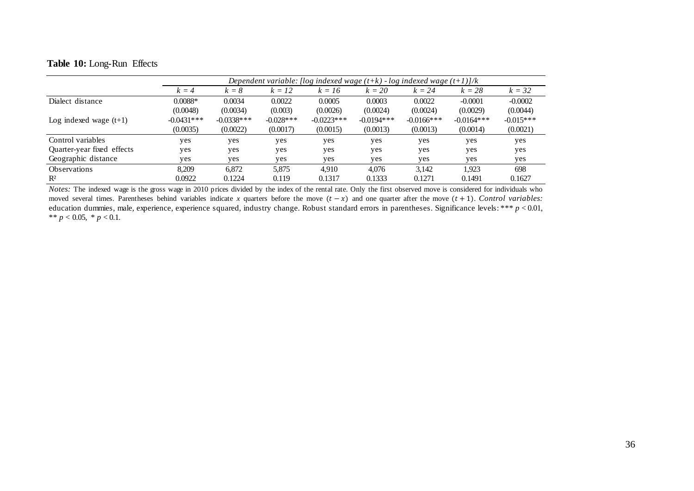### **Table 10:** Long-Run Effects

|                            | Dependent variable: [log indexed wage $(t+k)$ - log indexed wage $(t+1)/k$ |              |              |              |              |               |              |             |
|----------------------------|----------------------------------------------------------------------------|--------------|--------------|--------------|--------------|---------------|--------------|-------------|
|                            | $k = 4$                                                                    | $k=8$        | $k = 12$     | $k = 16$     | $k=20$       | $k=24$        | $k=28$       | $k=32$      |
| Dialect distance           | $0.0088*$                                                                  | 0.0034       | 0.0022       | 0.0005       | 0.0003       | 0.0022        | $-0.0001$    | $-0.0002$   |
|                            | (0.0048)                                                                   | (0.0034)     | (0.003)      | (0.0026)     | (0.0024)     | (0.0024)      | (0.0029)     | (0.0044)    |
| Log indexed wage $(t+1)$   | $-0.0431***$                                                               | $-0.0338***$ | $-0.028$ *** | $-0.0223***$ | $-0.0194***$ | $-0.0166$ *** | $-0.0164***$ | $-0.015***$ |
|                            | (0.0035)                                                                   | (0.0022)     | (0.0017)     | (0.0015)     | (0.0013)     | (0.0013)      | (0.0014)     | (0.0021)    |
| Control variables          | yes                                                                        | yes          | yes          | yes          | yes          | yes           | yes          | yes         |
| Quarter-year fixed effects | yes                                                                        | yes          | yes          | yes          | yes          | yes           | yes          | yes         |
| Geographic distance        | yes                                                                        | yes          | yes          | yes          | yes          | yes           | yes          | yes         |
| <b>Observations</b>        | 8.209                                                                      | 6.872        | 5,875        | 4.910        | 4.076        | 3.142         | 1.923        | 698         |
| $\mathbb{R}^2$             | 0.0922                                                                     | 0.1224       | 0.119        | 0.1317       | 0.1333       | 0.1271        | 0.1491       | 0.1627      |

*Notes:* The indexed wage is the gross wage in 2010 prices divided by the index of the rental rate. Only the first observed move is considered for individuals who moved several times. Parentheses behind variables indicate *x* quarters before the move  $(t - x)$  and one quarter after the move  $(t + 1)$ . *Control variables:* education dummies, male, experience, experience squared, industry change. Robust standard errors in parentheses. Significance levels: \*\*\* *p* < 0.01, \*\*  $p < 0.05$ , \*  $p < 0.1$ .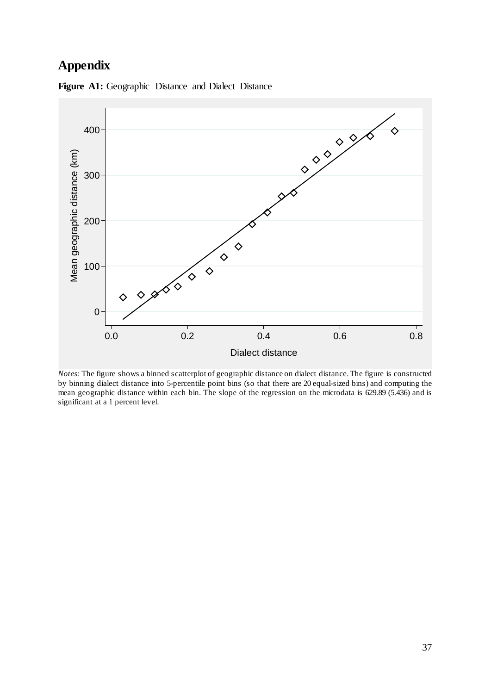# **Appendix**





*Notes:* The figure shows a binned scatterplot of geographic distance on dialect distance. The figure is constructed by binning dialect distance into 5-percentile point bins (so that there are 20 equal-sized bins) and computing the mean geographic distance within each bin. The slope of the regression on the microdata is 629.89 (5.436) and is significant at a 1 percent level.